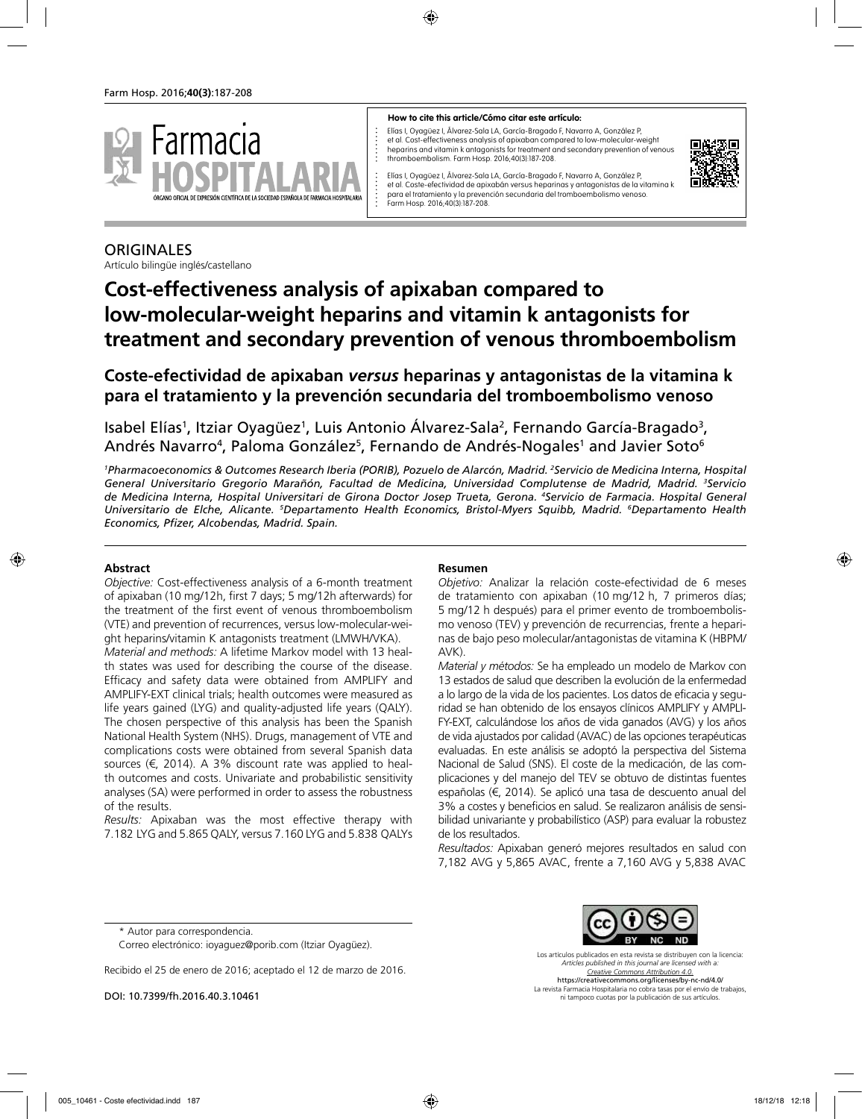

#### **How to cite this article/Cómo citar este artículo:**

Elías I, Oyagüez I, Álvarez-Sala LA, García-Bragado F, Navarro A, González P, et al. Cost-effectiveness analysis of apixaban compared to low-molecular-weight heparins and vitamin k antagonists for treatment and secondary prevention of venous thromboembolism. Farm Hosp. 2016;40(3):187-208.



Elías I, Oyagüez I, Álvarez-Sala LA, García-Bragado F, Navarro A, González P, et al. Coste-efectividad de apixabán versus heparinas y antagonistas de la vitamina k para el tratamiento y la prevención secundaria del tromboembolismo venoso. Farm Hosp. 2016;40(3):187-208.

# **ORIGINALES**

Artículo bilingüe inglés/castellano

# **Cost-effectiveness analysis of apixaban compared to low-molecular-weight heparins and vitamin k antagonists for treatment and secondary prevention of venous thromboembolism**

**Coste-efectividad de apixaban** *versus* **heparinas y antagonistas de la vitamina k para el tratamiento y la prevención secundaria del tromboembolismo venoso**

Isabel Elías<sup>1</sup>, Itziar Oyagüez<sup>1</sup>, Luis Antonio Álvarez-Sala<sup>2</sup>, Fernando García-Bragado<sup>3</sup>, Andrés Navarro<sup>4</sup>, Paloma González<sup>5</sup>, Fernando de Andrés-Nogales<sup>1</sup> and Javier Soto<sup>6</sup>

*1 Pharmacoeconomics & Outcomes Research Iberia (PORIB), Pozuelo de Alarcón, Madrid. 2 Servicio de Medicina Interna, Hospital General Universitario Gregorio Marañón, Facultad de Medicina, Universidad Complutense de Madrid, Madrid. 3 Servicio de Medicina Interna, Hospital Universitari de Girona Doctor Josep Trueta, Gerona. 4 Servicio de Farmacia. Hospital General Universitario de Elche, Alicante. 5 Departamento Health Economics, Bristol-Myers Squibb, Madrid. 6 Departamento Health Economics, Pfizer, Alcobendas, Madrid. Spain.*

# **Abstract**

*Objective:* Cost-effectiveness analysis of a 6-month treatment of apixaban (10 mg/12h, first 7 days; 5 mg/12h afterwards) for the treatment of the first event of venous thromboembolism (VTE) and prevention of recurrences, versus low-molecular-weight heparins/vitamin K antagonists treatment (LMWH/VKA).

*Material and methods:* A lifetime Markov model with 13 health states was used for describing the course of the disease. Efficacy and safety data were obtained from AMPLIFY and AMPLIFY-EXT clinical trials; health outcomes were measured as life years gained (LYG) and quality-adjusted life years (QALY). The chosen perspective of this analysis has been the Spanish National Health System (NHS). Drugs, management of VTE and complications costs were obtained from several Spanish data sources (€, 2014). A 3% discount rate was applied to health outcomes and costs. Univariate and probabilistic sensitivity analyses (SA) were performed in order to assess the robustness of the results.

*Results:* Apixaban was the most effective therapy with 7.182 LYG and 5.865 QALY, versus 7.160 LYG and 5.838 QALYs

# **Resumen**

*Objetivo:* Analizar la relación coste-efectividad de 6 meses de tratamiento con apixaban (10 mg/12 h, 7 primeros días; 5 mg/12 h después) para el primer evento de tromboembolismo venoso (TEV) y prevención de recurrencias, frente a heparinas de bajo peso molecular/antagonistas de vitamina K (HBPM/ AVK).

*Material y métodos:* Se ha empleado un modelo de Markov con 13 estados de salud que describen la evolución de la enfermedad a lo largo de la vida de los pacientes. Los datos de eficacia y seguridad se han obtenido de los ensayos clínicos AMPLIFY y AMPLI-FY-EXT, calculándose los años de vida ganados (AVG) y los años de vida ajustados por calidad (AVAC) de las opciones terapéuticas evaluadas. En este análisis se adoptó la perspectiva del Sistema Nacional de Salud (SNS). El coste de la medicación, de las complicaciones y del manejo del TEV se obtuvo de distintas fuentes españolas (€, 2014). Se aplicó una tasa de descuento anual del 3% a costes y beneficios en salud. Se realizaron análisis de sensibilidad univariante y probabilístico (ASP) para evaluar la robustez de los resultados.

*Resultados:* Apixaban generó mejores resultados en salud con 7,182 AVG y 5,865 AVAC, frente a 7,160 AVG y 5,838 AVAC

\* Autor para correspondencia.

DOI: 10.7399/fh.2016.40.3.10461



Los artículos publicados en esta revista se distribuyen con la licencia: *Articles published in this journal are licensed with a: Creative Commons Attribution 4.0.* https://creativecommons.org/licenses/by-nc-nd/4.0/ La revista Farmacia Hospitalaria no cobra tasas por el envío de trabajos, ni tampoco cuotas por la publicación de sus artículos.

Correo electrónico: ioyaguez@porib.com (Itziar Oyagüez).

Recibido el 25 de enero de 2016; aceptado el 12 de marzo de 2016.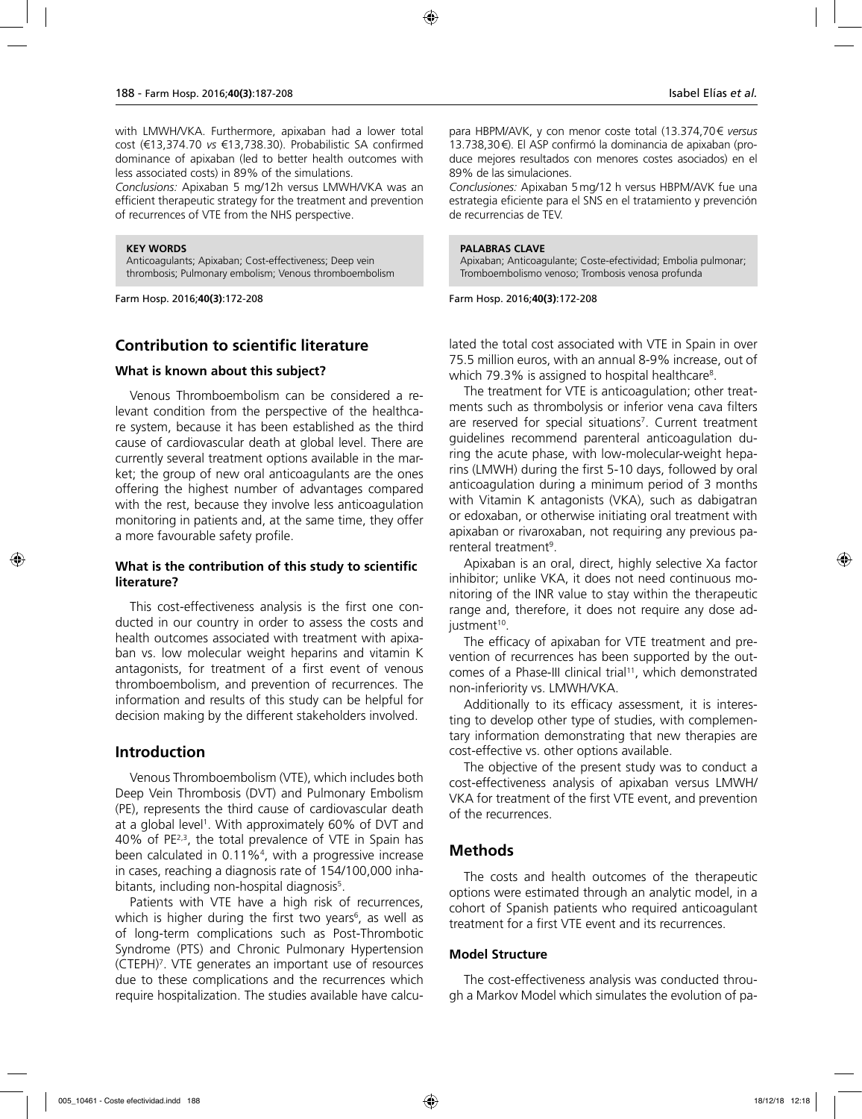with LMWH/VKA. Furthermore, apixaban had a lower total cost (€13,374.70 *vs* €13,738.30). Probabilistic SA confirmed dominance of apixaban (led to better health outcomes with less associated costs) in 89% of the simulations.

*Conclusions:* Apixaban 5 mg/12h versus LMWH/VKA was an efficient therapeutic strategy for the treatment and prevention of recurrences of VTE from the NHS perspective.

#### **KEY WORDS**

Anticoagulants; Apixaban; Cost-effectiveness; Deep vein thrombosis; Pulmonary embolism; Venous thromboembolism

Farm Hosp. 2016;**40(3)**:172-208

# **Contribution to scientific literature**

### **What is known about this subject?**

Venous Thromboembolism can be considered a relevant condition from the perspective of the healthcare system, because it has been established as the third cause of cardiovascular death at global level. There are currently several treatment options available in the market; the group of new oral anticoagulants are the ones offering the highest number of advantages compared with the rest, because they involve less anticoagulation monitoring in patients and, at the same time, they offer a more favourable safety profile.

# **What is the contribution of this study to scientific literature?**

This cost-effectiveness analysis is the first one conducted in our country in order to assess the costs and health outcomes associated with treatment with apixaban vs. low molecular weight heparins and vitamin K antagonists, for treatment of a first event of venous thromboembolism, and prevention of recurrences. The information and results of this study can be helpful for decision making by the different stakeholders involved.

# **Introduction**

Venous Thromboembolism (VTE), which includes both Deep Vein Thrombosis (DVT) and Pulmonary Embolism (PE), represents the third cause of cardiovascular death at a global level<sup>1</sup>. With approximately 60% of DVT and 40% of PE2,3, the total prevalence of VTE in Spain has been calculated in 0.11%4 , with a progressive increase in cases, reaching a diagnosis rate of 154/100,000 inhabitants, including non-hospital diagnosis<sup>5</sup>.

Patients with VTE have a high risk of recurrences, which is higher during the first two years<sup>6</sup>, as well as of long-term complications such as Post-Thrombotic Syndrome (PTS) and Chronic Pulmonary Hypertension (CTEPH)7 . VTE generates an important use of resources due to these complications and the recurrences which require hospitalization. The studies available have calcupara HBPM/AVK, y con menor coste total (13.374,70€ *versus* 13.738,30€). El ASP confirmó la dominancia de apixaban (produce mejores resultados con menores costes asociados) en el 89% de las simulaciones.

*Conclusiones:* Apixaban 5mg/12 h versus HBPM/AVK fue una estrategia eficiente para el SNS en el tratamiento y prevención de recurrencias de TEV.

#### **PALABRAS CLAVE**

Apixaban; Anticoagulante; Coste-efectividad; Embolia pulmonar; Tromboembolismo venoso; Trombosis venosa profunda

Farm Hosp. 2016;**40(3)**:172-208

lated the total cost associated with VTE in Spain in over 75.5 million euros, with an annual 8-9% increase, out of which 79.3% is assigned to hospital healthcare $^{\rm 8}.$ 

The treatment for VTE is anticoagulation; other treatments such as thrombolysis or inferior vena cava filters are reserved for special situations<sup>7</sup>. Current treatment guidelines recommend parenteral anticoagulation during the acute phase, with low-molecular-weight heparins (LMWH) during the first 5-10 days, followed by oral anticoagulation during a minimum period of 3 months with Vitamin K antagonists (VKA), such as dabigatran or edoxaban, or otherwise initiating oral treatment with apixaban or rivaroxaban, not requiring any previous parenteral treatment<sup>9</sup>.

Apixaban is an oral, direct, highly selective Xa factor inhibitor; unlike VKA, it does not need continuous monitoring of the INR value to stay within the therapeutic range and, therefore, it does not require any dose adjustment<sup>10</sup>.

The efficacy of apixaban for VTE treatment and prevention of recurrences has been supported by the outcomes of a Phase-III clinical trial<sup>11</sup>, which demonstrated non-inferiority vs. LMWH/VKA.

Additionally to its efficacy assessment, it is interesting to develop other type of studies, with complementary information demonstrating that new therapies are cost-effective vs. other options available.

The objective of the present study was to conduct a cost-effectiveness analysis of apixaban versus LMWH/ VKA for treatment of the first VTE event, and prevention of the recurrences.

# **Methods**

The costs and health outcomes of the therapeutic options were estimated through an analytic model, in a cohort of Spanish patients who required anticoagulant treatment for a first VTE event and its recurrences.

# **Model Structure**

The cost-effectiveness analysis was conducted through a Markov Model which simulates the evolution of pa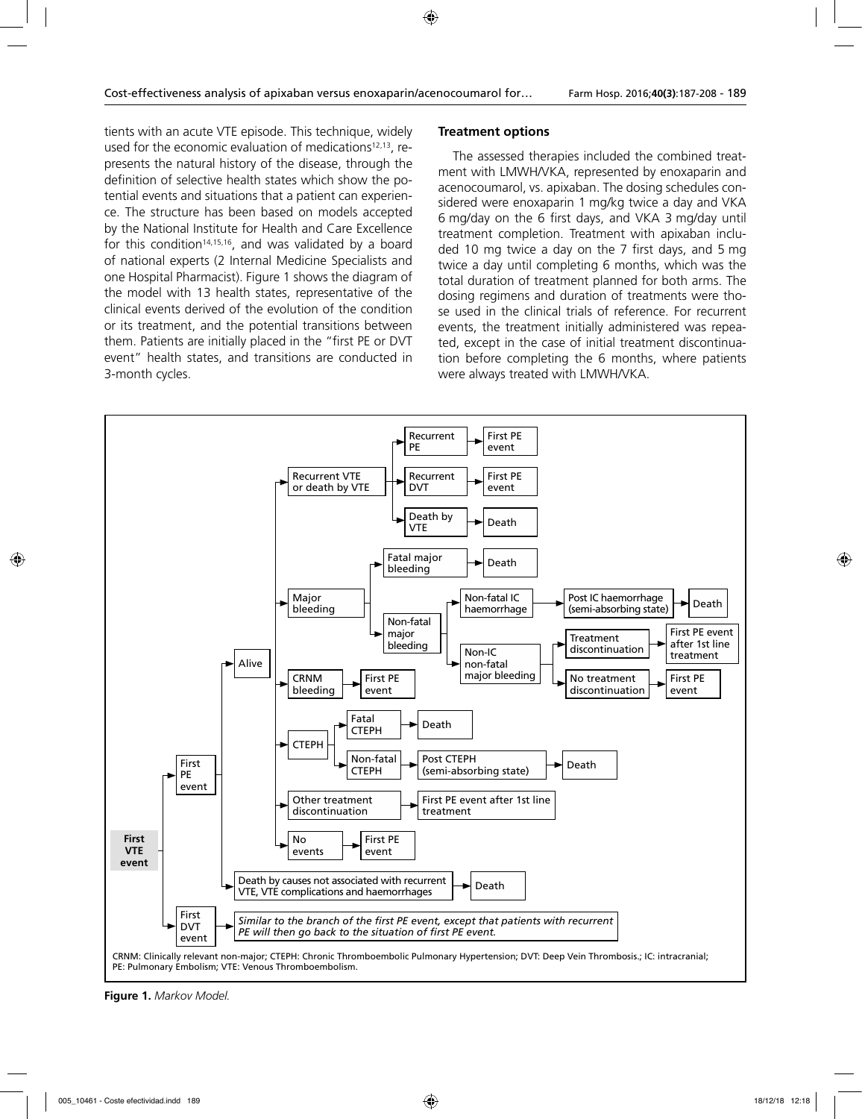tients with an acute VTE episode. This technique, widely used for the economic evaluation of medications<sup>12,13</sup>, represents the natural history of the disease, through the definition of selective health states which show the potential events and situations that a patient can experience. The structure has been based on models accepted by the National Institute for Health and Care Excellence for this condition<sup>14,15,16</sup>, and was validated by a board of national experts (2 Internal Medicine Specialists and one Hospital Pharmacist). Figure 1 shows the diagram of the model with 13 health states, representative of the clinical events derived of the evolution of the condition or its treatment, and the potential transitions between them. Patients are initially placed in the "first PE or DVT event" health states, and transitions are conducted in 3-month cycles.

# **Treatment options**

The assessed therapies included the combined treatment with LMWH/VKA, represented by enoxaparin and acenocoumarol, vs. apixaban. The dosing schedules considered were enoxaparin 1 mg/kg twice a day and VKA 6 mg/day on the 6 first days, and VKA 3 mg/day until treatment completion. Treatment with apixaban included 10 mg twice a day on the 7 first days, and 5 mg twice a day until completing 6 months, which was the total duration of treatment planned for both arms. The dosing regimens and duration of treatments were those used in the clinical trials of reference. For recurrent events, the treatment initially administered was repeated, except in the case of initial treatment discontinuation before completing the 6 months, where patients were always treated with LMWH/VKA.



**Figure 1.** *Markov Model.*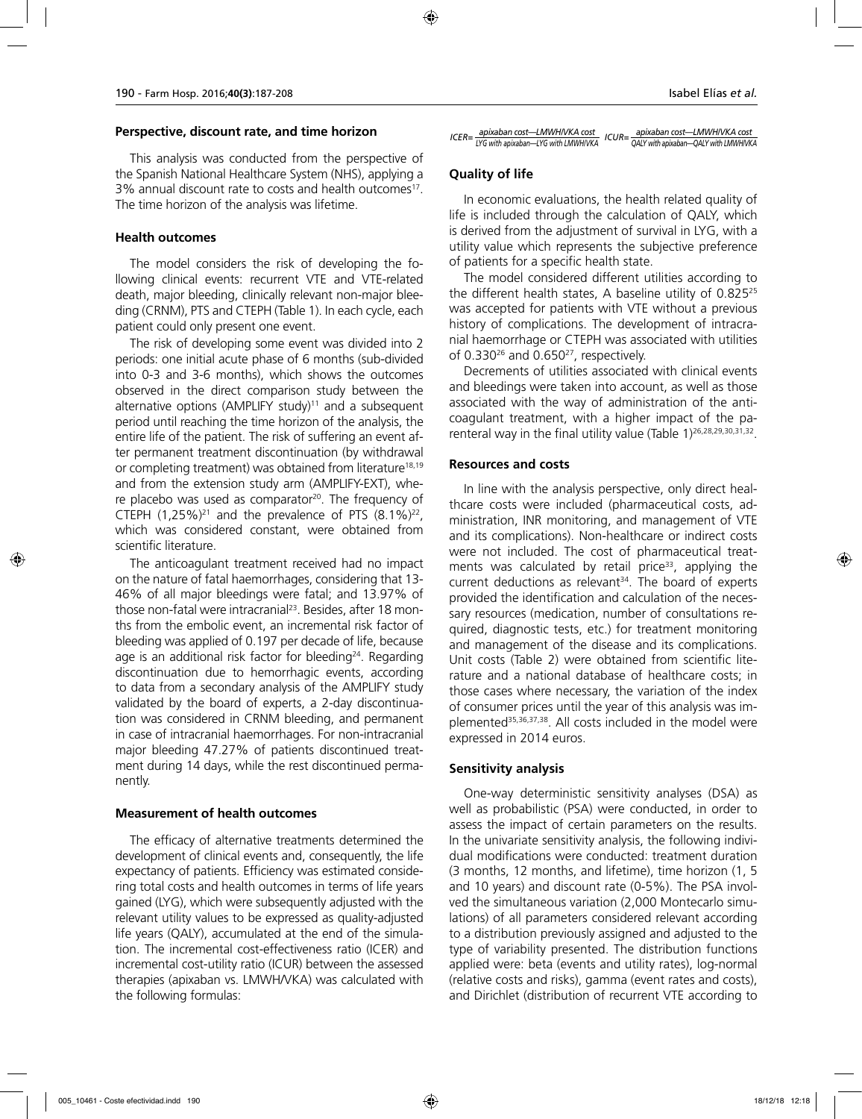#### **Perspective, discount rate, and time horizon**

This analysis was conducted from the perspective of the Spanish National Healthcare System (NHS), applying a 3% annual discount rate to costs and health outcomes<sup>17</sup>. The time horizon of the analysis was lifetime.

### **Health outcomes**

The model considers the risk of developing the following clinical events: recurrent VTE and VTE-related death, major bleeding, clinically relevant non-major bleeding (CRNM), PTS and CTEPH (Table 1). In each cycle, each patient could only present one event.

The risk of developing some event was divided into 2 periods: one initial acute phase of 6 months (sub-divided into 0-3 and 3-6 months), which shows the outcomes observed in the direct comparison study between the alternative options (AMPLIFY study)<sup>11</sup> and a subsequent period until reaching the time horizon of the analysis, the entire life of the patient. The risk of suffering an event after permanent treatment discontinuation (by withdrawal or completing treatment) was obtained from literature18,19 and from the extension study arm (AMPLIFY-EXT), where placebo was used as comparator<sup>20</sup>. The frequency of CTEPH  $(1,25\%)^{21}$  and the prevalence of PTS  $(8.1\%)^{22}$ , which was considered constant, were obtained from scientific literature.

The anticoagulant treatment received had no impact on the nature of fatal haemorrhages, considering that 13- 46% of all major bleedings were fatal; and 13.97% of those non-fatal were intracranial<sup>23</sup>. Besides, after 18 months from the embolic event, an incremental risk factor of bleeding was applied of 0.197 per decade of life, because age is an additional risk factor for bleeding<sup>24</sup>. Regarding discontinuation due to hemorrhagic events, according to data from a secondary analysis of the AMPLIFY study validated by the board of experts, a 2-day discontinuation was considered in CRNM bleeding, and permanent in case of intracranial haemorrhages. For non-intracranial major bleeding 47.27% of patients discontinued treatment during 14 days, while the rest discontinued permanently.

#### **Measurement of health outcomes**

The efficacy of alternative treatments determined the development of clinical events and, consequently, the life expectancy of patients. Efficiency was estimated considering total costs and health outcomes in terms of life years gained (LYG), which were subsequently adjusted with the relevant utility values to be expressed as quality-adjusted life years (QALY), accumulated at the end of the simulation. The incremental cost-effectiveness ratio (ICER) and incremental cost-utility ratio (ICUR) between the assessed therapies (apixaban vs. LMWH/VKA) was calculated with the following formulas:

# **Quality of life**

In economic evaluations, the health related quality of life is included through the calculation of QALY, which is derived from the adjustment of survival in LYG, with a utility value which represents the subjective preference of patients for a specific health state.

The model considered different utilities according to the different health states, A baseline utility of 0.82525 was accepted for patients with VTE without a previous history of complications. The development of intracranial haemorrhage or CTEPH was associated with utilities of  $0.330^{26}$  and  $0.650^{27}$ , respectively.

Decrements of utilities associated with clinical events and bleedings were taken into account, as well as those associated with the way of administration of the anticoagulant treatment, with a higher impact of the parenteral way in the final utility value (Table 1)<sup>26,28,29,30,31,32</sup>.

### **Resources and costs**

In line with the analysis perspective, only direct healthcare costs were included (pharmaceutical costs, administration, INR monitoring, and management of VTE and its complications). Non-healthcare or indirect costs were not included. The cost of pharmaceutical treatments was calculated by retail price<sup>33</sup>, applying the current deductions as relevant $34$ . The board of experts provided the identification and calculation of the necessary resources (medication, number of consultations required, diagnostic tests, etc.) for treatment monitoring and management of the disease and its complications. Unit costs (Table 2) were obtained from scientific literature and a national database of healthcare costs; in those cases where necessary, the variation of the index of consumer prices until the year of this analysis was implemented35,36,37,38. All costs included in the model were expressed in 2014 euros.

# **Sensitivity analysis**

One-way deterministic sensitivity analyses (DSA) as well as probabilistic (PSA) were conducted, in order to assess the impact of certain parameters on the results. In the univariate sensitivity analysis, the following individual modifications were conducted: treatment duration (3 months, 12 months, and lifetime), time horizon (1, 5 and 10 years) and discount rate (0-5%). The PSA involved the simultaneous variation (2,000 Montecarlo simulations) of all parameters considered relevant according to a distribution previously assigned and adjusted to the type of variability presented. The distribution functions applied were: beta (events and utility rates), log-normal (relative costs and risks), gamma (event rates and costs), and Dirichlet (distribution of recurrent VTE according to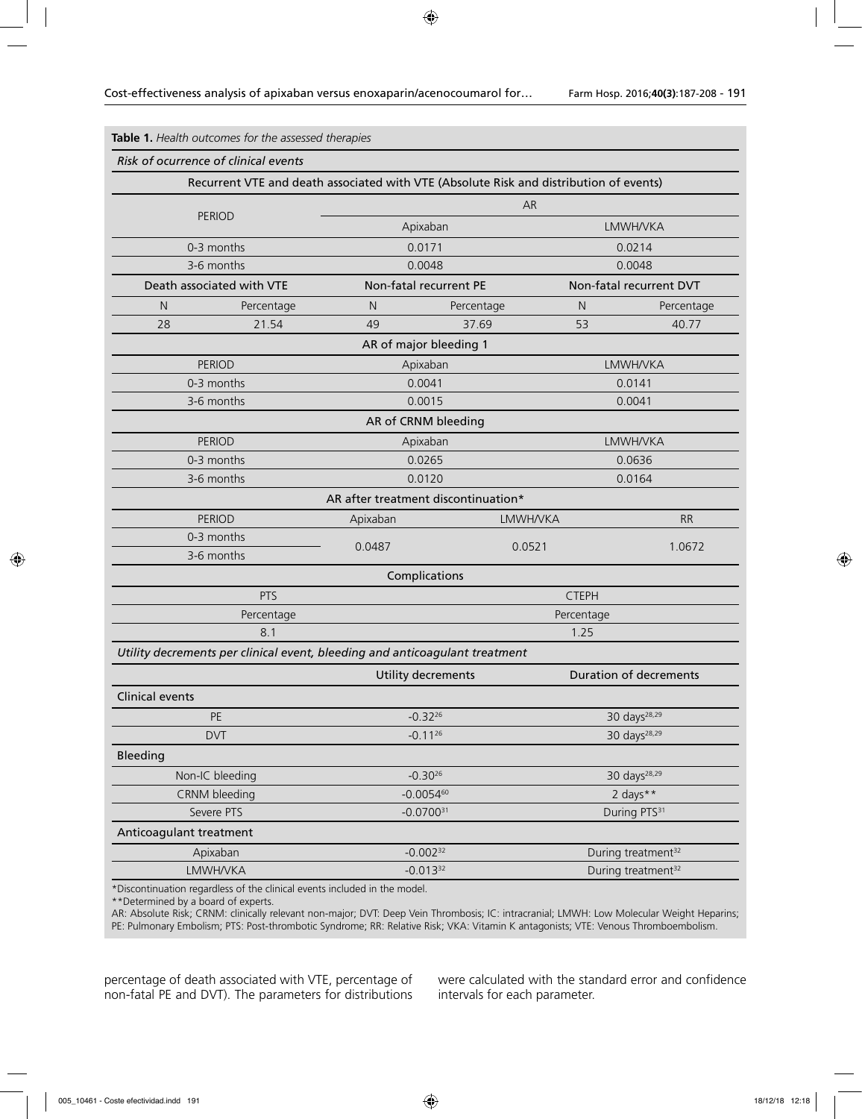|                                 | Risk of ocurrence of clinical events                                                   |                                     |                          |                 |                                |            |
|---------------------------------|----------------------------------------------------------------------------------------|-------------------------------------|--------------------------|-----------------|--------------------------------|------------|
|                                 | Recurrent VTE and death associated with VTE (Absolute Risk and distribution of events) |                                     |                          |                 |                                |            |
|                                 |                                                                                        | AR                                  |                          |                 |                                |            |
|                                 | <b>PERIOD</b>                                                                          |                                     | Apixaban                 |                 | <b>LMWH/VKA</b>                |            |
| 0-3 months                      |                                                                                        |                                     | 0.0171                   |                 | 0.0214                         |            |
|                                 | 3-6 months                                                                             |                                     | 0.0048                   |                 | 0.0048                         |            |
|                                 | Death associated with VTE                                                              |                                     | Non-fatal recurrent PE   |                 | Non-fatal recurrent DVT        |            |
| N                               | Percentage                                                                             | N                                   | Percentage               |                 | N                              | Percentage |
| 28                              | 21.54                                                                                  | 49                                  | 37.69                    |                 | 53                             | 40.77      |
|                                 |                                                                                        |                                     | AR of major bleeding 1   |                 |                                |            |
|                                 | <b>PERIOD</b>                                                                          |                                     | Apixaban                 |                 | <b>LMWH/VKA</b>                |            |
|                                 | 0-3 months                                                                             |                                     | 0.0041                   |                 | 0.0141                         |            |
|                                 | 3-6 months                                                                             |                                     | 0.0015                   |                 | 0.0041                         |            |
|                                 |                                                                                        |                                     | AR of CRNM bleeding      |                 |                                |            |
|                                 | <b>PERIOD</b>                                                                          |                                     | Apixaban                 |                 | <b>LMWH/VKA</b>                |            |
| 0-3 months                      |                                                                                        |                                     | 0.0265                   |                 | 0.0636                         |            |
|                                 | 3-6 months                                                                             |                                     | 0.0120                   |                 | 0.0164                         |            |
|                                 |                                                                                        | AR after treatment discontinuation* |                          |                 |                                |            |
| <b>PERIOD</b>                   |                                                                                        | Apixaban                            |                          | <b>LMWH/VKA</b> |                                | <b>RR</b>  |
|                                 | 0-3 months                                                                             | 0.0487                              |                          | 0.0521          |                                | 1.0672     |
| 3-6 months                      |                                                                                        |                                     |                          |                 |                                |            |
|                                 |                                                                                        |                                     | Complications            |                 |                                |            |
|                                 | PTS                                                                                    |                                     |                          | <b>CTEPH</b>    |                                |            |
|                                 | Percentage                                                                             |                                     |                          |                 | Percentage                     |            |
|                                 | 8.1                                                                                    |                                     |                          |                 | 1.25                           |            |
|                                 | Utility decrements per clinical event, bleeding and anticoagulant treatment            |                                     |                          |                 |                                |            |
|                                 |                                                                                        |                                     | Utility decrements       |                 | Duration of decrements         |            |
| <b>Clinical events</b>          |                                                                                        |                                     |                          |                 |                                |            |
| PE                              |                                                                                        |                                     | $-0.32^{26}$             |                 | 30 days <sup>28,29</sup>       |            |
| <b>DVT</b>                      |                                                                                        |                                     | $-0.11^{26}$             |                 | 30 days <sup>28,29</sup>       |            |
| <b>Bleeding</b>                 |                                                                                        |                                     |                          |                 |                                |            |
| $-0.30^{26}$<br>Non-IC bleeding |                                                                                        |                                     | 30 days <sup>28,29</sup> |                 |                                |            |
|                                 | CRNM bleeding                                                                          |                                     | $-0.0054^{60}$           |                 | 2 days**                       |            |
|                                 | Severe PTS                                                                             |                                     | $-0.0700^{31}$           |                 | During PTS <sup>31</sup>       |            |
| Anticoagulant treatment         |                                                                                        |                                     |                          |                 |                                |            |
|                                 | Apixaban                                                                               |                                     | $-0.002^{32}$            |                 | During treatment <sup>32</sup> |            |
| LMWH/VKA                        |                                                                                        |                                     | $-0.013^{32}$            |                 | During treatment <sup>32</sup> |            |

\*Discontinuation regardless of the clinical events included in the model.

\*\*Determined by a board of experts.

AR: Absolute Risk; CRNM: clinically relevant non-major; DVT: Deep Vein Thrombosis; IC: intracranial; LMWH: Low Molecular Weight Heparins; PE: Pulmonary Embolism; PTS: Post-thrombotic Syndrome; RR: Relative Risk; VKA: Vitamin K antagonists; VTE: Venous Thromboembolism.

percentage of death associated with VTE, percentage of non-fatal PE and DVT). The parameters for distributions

were calculated with the standard error and confidence intervals for each parameter.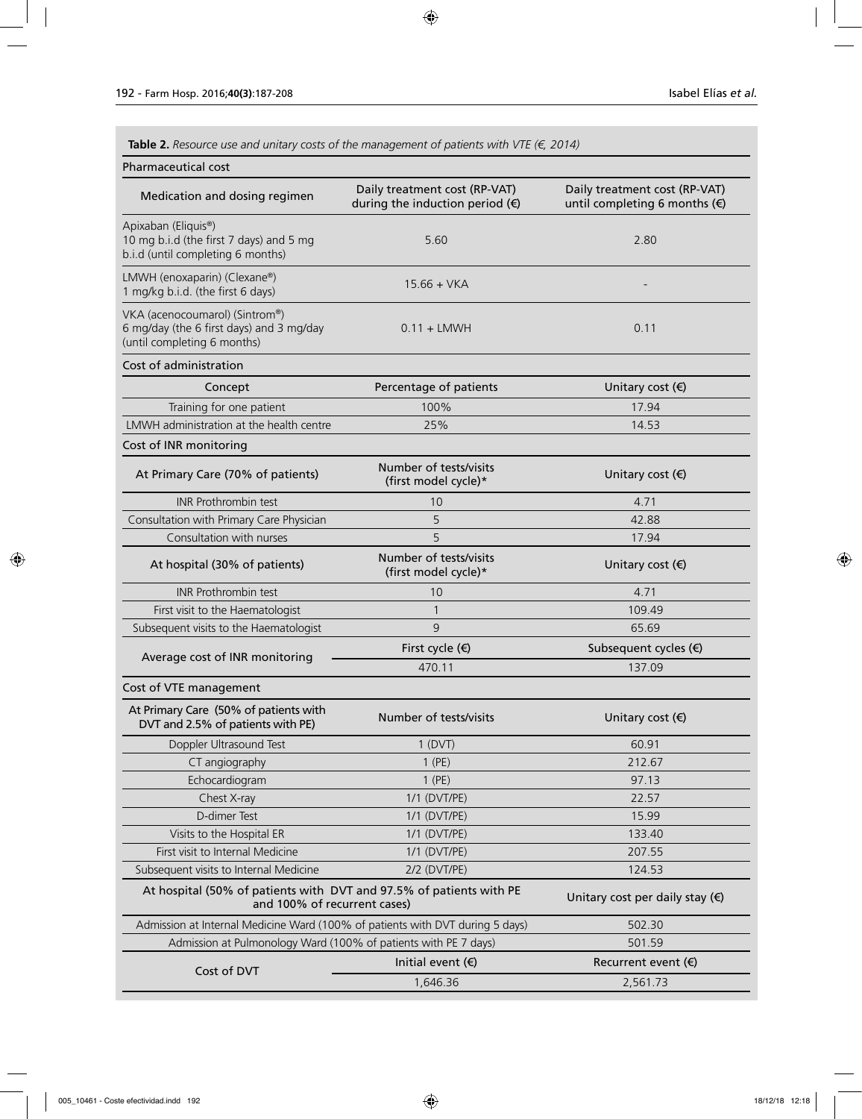**Table 2.** *Resource use and unitary costs of the management of patients with VTE (€, 2014)*

| Pharmaceutical cost                                                                                       |                                                                           |                                                                |
|-----------------------------------------------------------------------------------------------------------|---------------------------------------------------------------------------|----------------------------------------------------------------|
| Medication and dosing regimen                                                                             | Daily treatment cost (RP-VAT)<br>during the induction period $(\epsilon)$ | Daily treatment cost (RP-VAT)<br>until completing 6 months (€) |
| Apixaban (Eliquis®)<br>10 mg b.i.d (the first 7 days) and 5 mg<br>b.i.d (until completing 6 months)       | 5.60                                                                      | 2.80                                                           |
| LMWH (enoxaparin) (Clexane®)<br>1 mg/kg b i.d. (the first 6 days)                                         | $15.66 + VKA$                                                             |                                                                |
| VKA (acenocoumarol) (Sintrom®)<br>6 mg/day (the 6 first days) and 3 mg/day<br>(until completing 6 months) | $0.11 + L$ MWH                                                            | 0.11                                                           |
| Cost of administration                                                                                    |                                                                           |                                                                |
| Concept                                                                                                   | Percentage of patients                                                    | Unitary cost $(\epsilon)$                                      |
| Training for one patient                                                                                  | 100%                                                                      | 17.94                                                          |
| LMWH administration at the health centre                                                                  | 25%                                                                       | 14.53                                                          |
| Cost of INR monitoring                                                                                    |                                                                           |                                                                |
| At Primary Care (70% of patients)                                                                         | Number of tests/visits<br>(first model cycle)*                            | Unitary cost $(\epsilon)$                                      |
| <b>INR Prothrombin test</b>                                                                               | 10                                                                        | 4.71                                                           |
| Consultation with Primary Care Physician                                                                  | 5                                                                         | 42.88                                                          |
| Consultation with nurses                                                                                  | 5                                                                         | 17.94                                                          |
| At hospital (30% of patients)                                                                             | Number of tests/visits<br>(first model cycle)*                            | Unitary cost $(\epsilon)$                                      |
| <b>INR Prothrombin test</b>                                                                               | 10                                                                        | 4.71                                                           |
| First visit to the Haematologist                                                                          | $\mathbf{1}$                                                              | 109.49                                                         |
| Subsequent visits to the Haematologist                                                                    | 9                                                                         | 65.69                                                          |
|                                                                                                           | First cycle (€)                                                           | Subsequent cycles (€)                                          |
| Average cost of INR monitoring                                                                            | 470.11                                                                    | 137.09                                                         |
| Cost of VTE management                                                                                    |                                                                           |                                                                |
| At Primary Care (50% of patients with<br>DVT and 2.5% of patients with PE)                                | Number of tests/visits                                                    | Unitary cost $(\epsilon)$                                      |
| Doppler Ultrasound Test                                                                                   | 1 (DVT)                                                                   | 60.91                                                          |
| CT angiography                                                                                            | $1$ (PE)                                                                  | 212.67                                                         |
| Echocardiogram                                                                                            | $1$ (PE)                                                                  | 97.13                                                          |
| Chest X-ray                                                                                               | 1/1 (DVT/PE)                                                              | 22.57                                                          |
| D-dimer Test                                                                                              | 1/1 (DVT/PE)                                                              | 15.99                                                          |
| Visits to the Hospital ER                                                                                 | 1/1 (DVT/PE)                                                              | 133.40                                                         |
| First visit to Internal Medicine                                                                          | 1/1 (DVT/PE)                                                              | 207.55                                                         |
| Subsequent visits to Internal Medicine                                                                    | 2/2 (DVT/PE)                                                              | 124.53                                                         |
| At hospital (50% of patients with DVT and 97.5% of patients with PE<br>and 100% of recurrent cases)       |                                                                           | Unitary cost per daily stay $(\epsilon)$                       |
| Admission at Internal Medicine Ward (100% of patients with DVT during 5 days)                             |                                                                           | 502.30                                                         |
| Admission at Pulmonology Ward (100% of patients with PE 7 days)                                           |                                                                           | 501.59                                                         |
|                                                                                                           | Initial event $($ )                                                       | Recurrent event $(\epsilon)$                                   |
| Cost of DVT                                                                                               | 1,646.36                                                                  | 2,561.73                                                       |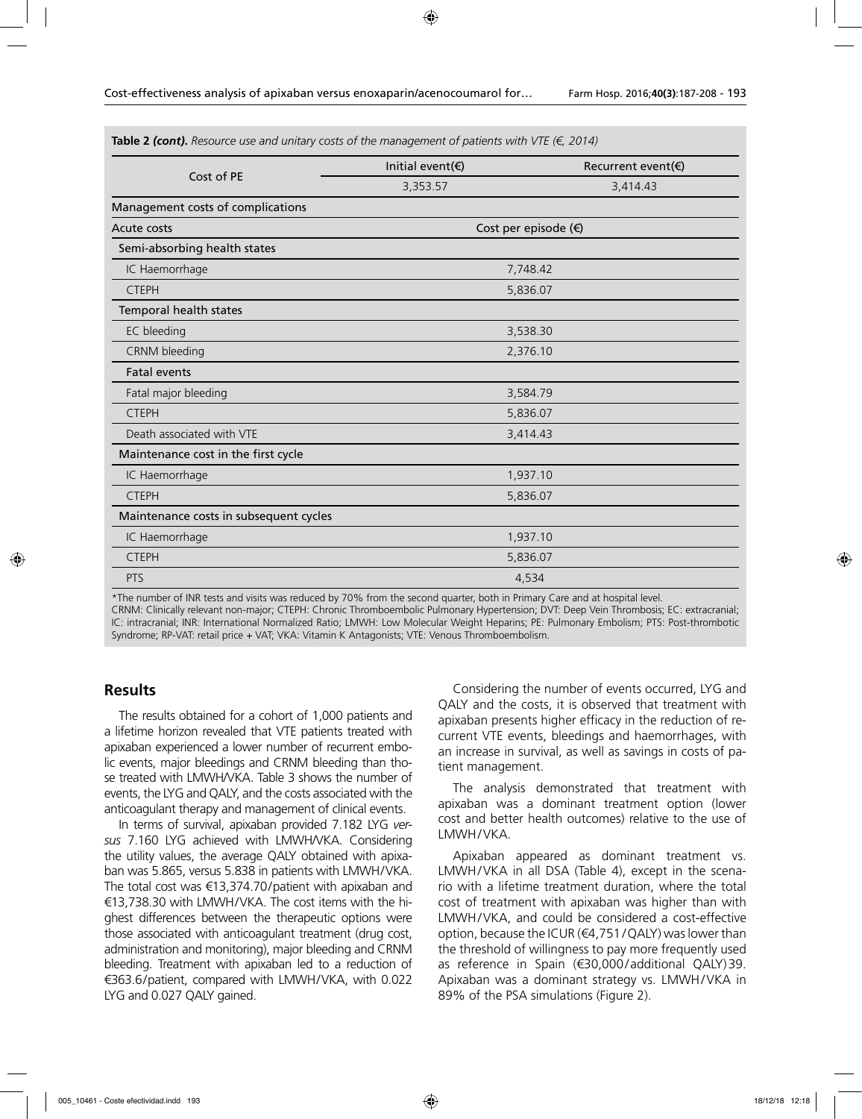**Table 2** *(cont)***.** *Resource use and unitary costs of the management of patients with VTE (€, 2014)*

|                                        | Initial event(€) | Recurrent event( $\notin$ )   |  |  |
|----------------------------------------|------------------|-------------------------------|--|--|
| Cost of PE                             | 3,353.57         | 3,414.43                      |  |  |
| Management costs of complications      |                  |                               |  |  |
| Acute costs                            |                  | Cost per episode $(\epsilon)$ |  |  |
| Semi-absorbing health states           |                  |                               |  |  |
| IC Haemorrhage                         |                  | 7,748.42                      |  |  |
| <b>CTEPH</b>                           |                  | 5,836.07                      |  |  |
| Temporal health states                 |                  |                               |  |  |
| EC bleeding                            |                  | 3,538.30                      |  |  |
| CRNM bleeding                          |                  | 2,376.10                      |  |  |
| <b>Fatal events</b>                    |                  |                               |  |  |
| Fatal major bleeding                   |                  | 3,584.79                      |  |  |
| <b>CTEPH</b>                           |                  | 5,836.07                      |  |  |
| Death associated with VTE              |                  | 3,414.43                      |  |  |
| Maintenance cost in the first cycle    |                  |                               |  |  |
| IC Haemorrhage                         |                  | 1,937.10                      |  |  |
| <b>CTEPH</b>                           |                  | 5,836.07                      |  |  |
| Maintenance costs in subsequent cycles |                  |                               |  |  |
| IC Haemorrhage                         |                  | 1,937.10                      |  |  |
| <b>CTEPH</b>                           |                  | 5,836.07                      |  |  |
| <b>PTS</b>                             |                  | 4,534                         |  |  |

\*The number of INR tests and visits was reduced by 70% from the second quarter, both in Primary Care and at hospital level.

CRNM: Clinically relevant non-major; CTEPH: Chronic Thromboembolic Pulmonary Hypertension; DVT: Deep Vein Thrombosis; EC: extracranial; IC: intracranial; INR: International Normalized Ratio; LMWH: Low Molecular Weight Heparins; PE: Pulmonary Embolism; PTS: Post-thrombotic Syndrome; RP-VAT: retail price + VAT; VKA: Vitamin K Antagonists; VTE: Venous Thromboembolism.

### **Results**

The results obtained for a cohort of 1,000 patients and a lifetime horizon revealed that VTE patients treated with apixaban experienced a lower number of recurrent embolic events, major bleedings and CRNM bleeding than those treated with LMWH/VKA. Table 3 shows the number of events, the LYG and QALY, and the costs associated with the anticoagulant therapy and management of clinical events.

In terms of survival, apixaban provided 7.182 LYG *versus* 7.160 LYG achieved with LMWH/VKA. Considering the utility values, the average QALY obtained with apixaban was 5.865, versus 5.838 in patients with LMWH/VKA. The total cost was €13,374.70/patient with apixaban and €13,738.30 with LMWH/VKA. The cost items with the highest differences between the therapeutic options were those associated with anticoagulant treatment (drug cost, administration and monitoring), major bleeding and CRNM bleeding. Treatment with apixaban led to a reduction of €363.6/patient, compared with LMWH/VKA, with 0.022 LYG and 0.027 QALY gained.

Considering the number of events occurred, LYG and QALY and the costs, it is observed that treatment with apixaban presents higher efficacy in the reduction of recurrent VTE events, bleedings and haemorrhages, with an increase in survival, as well as savings in costs of patient management.

The analysis demonstrated that treatment with apixaban was a dominant treatment option (lower cost and better health outcomes) relative to the use of LMWH/VKA.

Apixaban appeared as dominant treatment vs. LMWH/VKA in all DSA (Table 4), except in the scenario with a lifetime treatment duration, where the total cost of treatment with apixaban was higher than with LMWH/VKA, and could be considered a cost-effective option, because the ICUR (€4,751/QALY) was lower than the threshold of willingness to pay more frequently used as reference in Spain (€30,000/additional QALY)39. Apixaban was a dominant strategy vs. LMWH/VKA in 89% of the PSA simulations (Figure 2).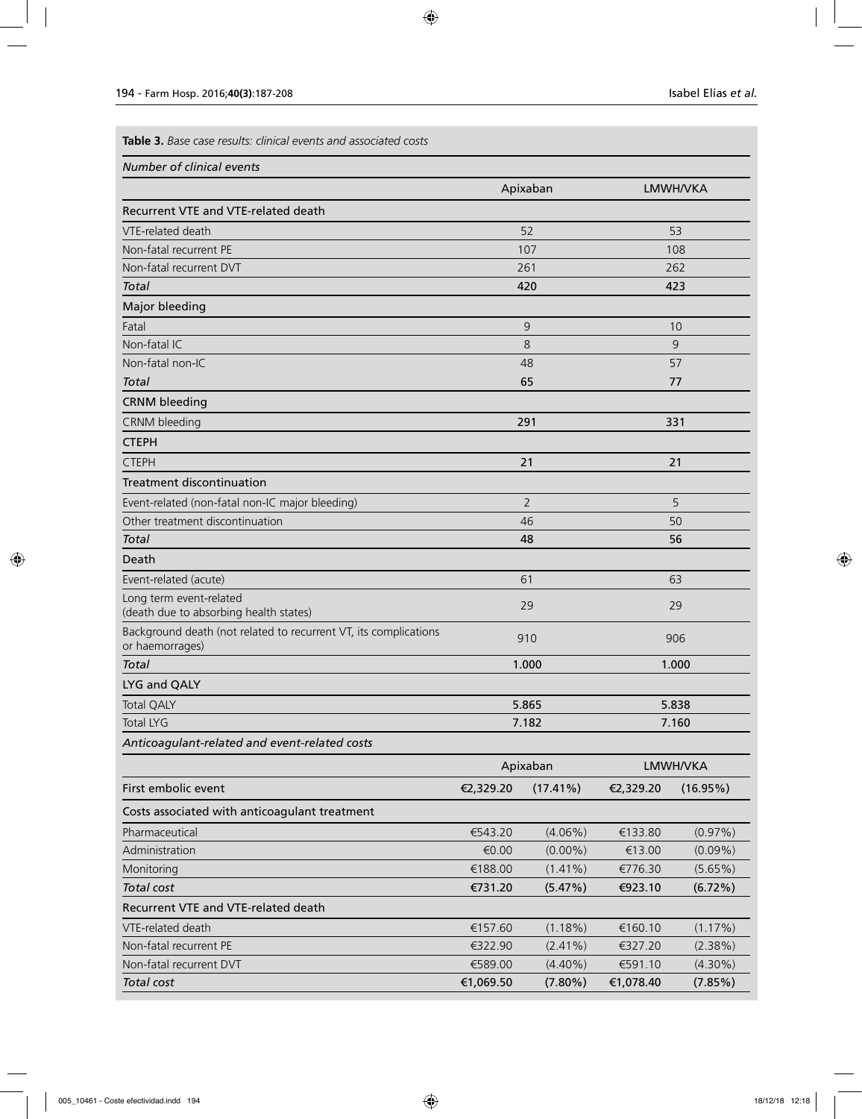**Table 3.** *Base case results: clinical events and associated costs*

| Number of clinical events |  |  |
|---------------------------|--|--|
|                           |  |  |

|                                                                                     |           | Apixaban       |           | LMWH/VKA    |
|-------------------------------------------------------------------------------------|-----------|----------------|-----------|-------------|
| Recurrent VTE and VTE-related death                                                 |           |                |           |             |
| VTE-related death                                                                   |           | 52             |           | 53          |
| Non-fatal recurrent PE                                                              |           | 107            |           | 108         |
| Non-fatal recurrent DVT                                                             |           | 261            |           | 262         |
| <b>Total</b>                                                                        |           | 420            |           | 423         |
| Major bleeding                                                                      |           |                |           |             |
| Fatal                                                                               |           | 9              |           | 10          |
| Non-fatal IC                                                                        |           | 8              |           | 9           |
| Non-fatal non-IC                                                                    |           | 48             |           | 57          |
| Total                                                                               |           | 65             |           | 77          |
| <b>CRNM bleeding</b>                                                                |           |                |           |             |
| <b>CRNM</b> bleeding                                                                |           | 291            |           | 331         |
| <b>CTEPH</b>                                                                        |           |                |           |             |
| <b>CTEPH</b>                                                                        |           | 21             |           | 21          |
| <b>Treatment discontinuation</b>                                                    |           |                |           |             |
| Event-related (non-fatal non-IC major bleeding)                                     |           | $\overline{2}$ |           | 5           |
| Other treatment discontinuation                                                     |           | 46             | 50        |             |
| <b>Total</b>                                                                        |           | 48             | 56        |             |
| Death                                                                               |           |                |           |             |
| Event-related (acute)                                                               | 61        |                | 63        |             |
| Long term event-related<br>(death due to absorbing health states)                   | 29        |                | 29        |             |
| Background death (not related to recurrent VT, its complications<br>or haemorrages) |           | 910            | 906       |             |
| Total                                                                               |           | 1.000          | 1.000     |             |
| LYG and QALY                                                                        |           |                |           |             |
| <b>Total QALY</b>                                                                   |           | 5.865          |           | 5.838       |
| <b>Total LYG</b>                                                                    |           | 7.182          |           | 7.160       |
| Anticoagulant-related and event-related costs                                       |           |                |           |             |
|                                                                                     |           | Apixaban       |           | LMWH/VKA    |
| First embolic event                                                                 | €2,329.20 | $(17.41\%)$    | €2,329.20 | $(16.95\%)$ |
| Costs associated with anticoagulant treatment                                       |           |                |           |             |
| Pharmaceutical                                                                      | €543.20   | $(4.06\%)$     | €133.80   | $(0.97\%)$  |
| Administration                                                                      | €0.00     | $(0.00\%)$     | €13.00    | $(0.09\%)$  |
| Monitoring                                                                          | €188.00   | $(1.41\%)$     | €776.30   | $(5.65\%)$  |
| Total cost                                                                          | €731.20   | (5.47%)        | €923.10   | (6.72%)     |
| Recurrent VTE and VTE-related death                                                 |           |                |           |             |
| VTE-related death                                                                   | €157.60   | $(1.18\%)$     | €160.10   | (1.17%)     |
| Non-fatal recurrent PE                                                              | €322.90   | $(2.41\%)$     | €327.20   | (2.38%)     |
| Non-fatal recurrent DVT                                                             | €589.00   | $(4.40\%)$     | €591.10   | $(4.30\%)$  |
| Total cost                                                                          | €1,069.50 | $(7.80\%)$     | €1,078.40 | (7.85%)     |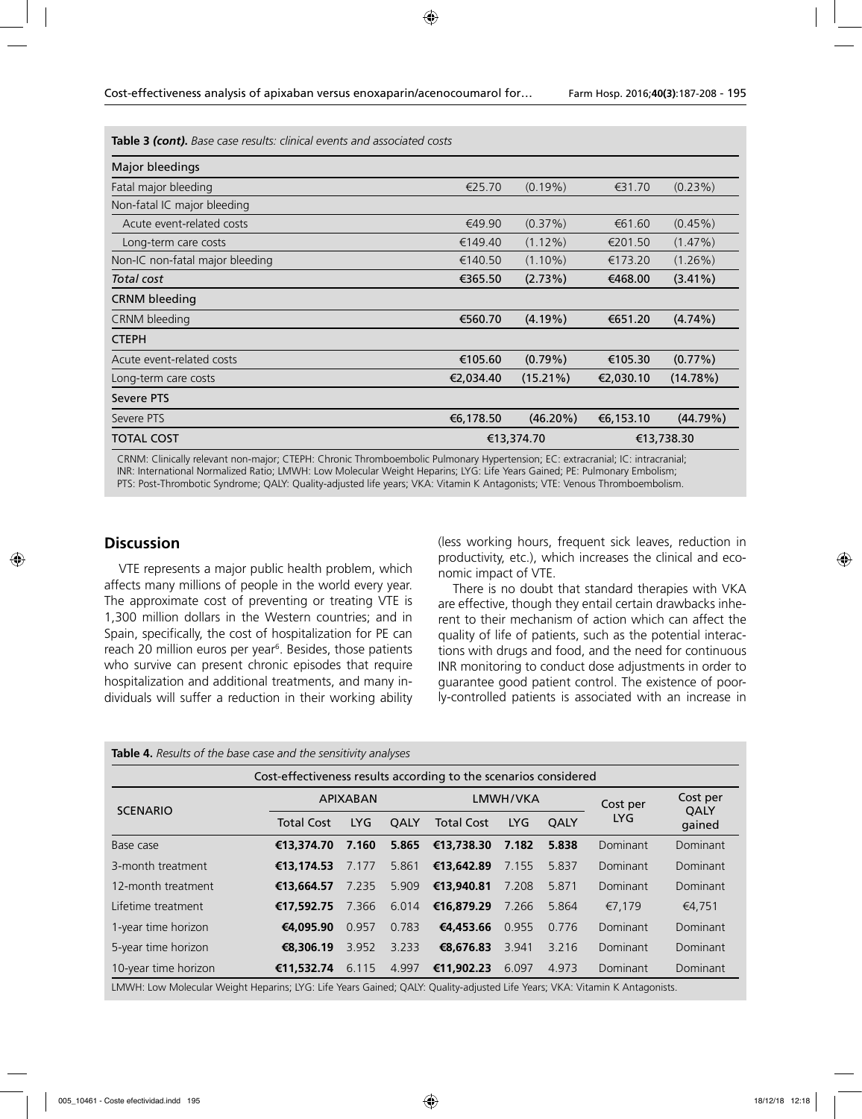**Table 3** *(cont)***.** *Base case results: clinical events and associated costs*

| Major bleedings                 |            |             |            |            |
|---------------------------------|------------|-------------|------------|------------|
| Fatal major bleeding            | €25.70     | $(0.19\%)$  | €31.70     | $(0.23\%)$ |
| Non-fatal IC major bleeding     |            |             |            |            |
| Acute event-related costs       | €49.90     | $(0.37\%)$  | €61.60     | $(0.45\%)$ |
| Long-term care costs            | €149.40    | $(1.12\%)$  | €201.50    | $(1.47\%)$ |
| Non-IC non-fatal major bleeding | €140.50    | $(1.10\%)$  | €173.20    | $(1.26\%)$ |
| Total cost                      | €365.50    | (2.73%)     | €468.00    | $(3.41\%)$ |
| <b>CRNM</b> bleeding            |            |             |            |            |
| CRNM bleeding                   | €560.70    | $(4.19\%)$  | €651.20    | $(4.74\%)$ |
| <b>CTEPH</b>                    |            |             |            |            |
| Acute event-related costs       | €105.60    | $(0.79\%)$  | €105.30    | $(0.77\%)$ |
| Long-term care costs            | €2,034.40  | $(15.21\%)$ | €2,030.10  | (14.78%)   |
| Severe PTS                      |            |             |            |            |
| Severe PTS                      | €6,178.50  | $(46.20\%)$ | €6,153.10  | (44.79%)   |
| <b>TOTAL COST</b>               | €13,374.70 |             | €13,738.30 |            |

CRNM: Clinically relevant non-major; CTEPH: Chronic Thromboembolic Pulmonary Hypertension; EC: extracranial; IC: intracranial; INR: International Normalized Ratio; LMWH: Low Molecular Weight Heparins; LYG: Life Years Gained; PE: Pulmonary Embolism; PTS: Post-Thrombotic Syndrome; QALY: Quality-adjusted life years; VKA: Vitamin K Antagonists; VTE: Venous Thromboembolism.

# **Discussion**

VTE represents a major public health problem, which affects many millions of people in the world every year. The approximate cost of preventing or treating VTE is 1,300 million dollars in the Western countries; and in Spain, specifically, the cost of hospitalization for PE can reach 20 million euros per year<sup>6</sup>. Besides, those patients who survive can present chronic episodes that require hospitalization and additional treatments, and many individuals will suffer a reduction in their working ability (less working hours, frequent sick leaves, reduction in productivity, etc.), which increases the clinical and economic impact of VTE.

There is no doubt that standard therapies with VKA are effective, though they entail certain drawbacks inherent to their mechanism of action which can affect the quality of life of patients, such as the potential interactions with drugs and food, and the need for continuous INR monitoring to conduct dose adjustments in order to guarantee good patient control. The existence of poorly-controlled patients is associated with an increase in

**Table 4.** *Results of the base case and the sensitivity analyses* 

| Cost-effectiveness results according to the scenarios considered |                   |            |             |                   |            |             |            |                       |
|------------------------------------------------------------------|-------------------|------------|-------------|-------------------|------------|-------------|------------|-----------------------|
| <b>SCENARIO</b>                                                  | <b>APIXABAN</b>   |            | LMWH/VKA    |                   |            | Cost per    | Cost per   |                       |
|                                                                  | <b>Total Cost</b> | <b>LYG</b> | <b>OALY</b> | <b>Total Cost</b> | <b>LYG</b> | <b>OALY</b> | <b>LYG</b> | <b>QALY</b><br>gained |
| Base case                                                        | €13,374,70        | 7.160      | 5.865       | €13,738.30        | 7.182      | 5.838       | Dominant   | Dominant              |
| 3-month treatment                                                | €13,174.53        | 7.177      | 5.861       | €13,642.89        | 7.155      | 5.837       | Dominant   | Dominant              |
| 12-month treatment                                               | €13,664.57        | 7.235      | 5.909       | €13,940.81        | 7.208      | 5.871       | Dominant   | Dominant              |
| Lifetime treatment                                               | €17,592.75        | 7.366      | 6.014       | €16,879.29        | 7.266      | 5.864       | €7.179     | €4.751                |
| 1-year time horizon                                              | €4.095.90         | 0.957      | 0.783       | €4,453.66         | 0.955      | 0.776       | Dominant   | Dominant              |
| 5-year time horizon                                              | €8,306.19         | 3.952      | 3.233       | €8,676.83         | 3.941      | 3.216       | Dominant   | Dominant              |
| 10-year time horizon                                             | €11,532.74        | 6.115      | 4.997       | €11,902.23        | 6.097      | 4.973       | Dominant   | Dominant              |
|                                                                  |                   |            |             |                   |            |             |            |                       |

LMWH: Low Molecular Weight Heparins; LYG: Life Years Gained; QALY: Quality-adjusted Life Years; VKA: Vitamin K Antagonists.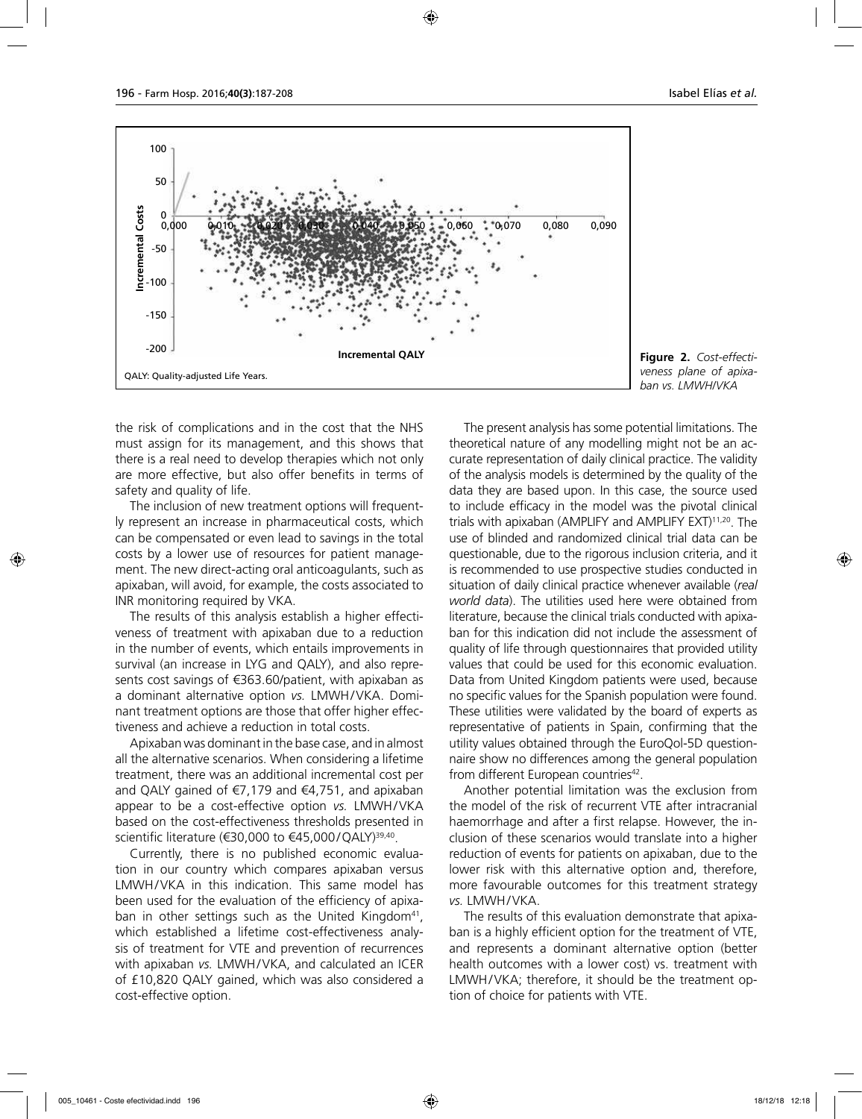

**Figure 2.** *Cost-effectiveness plane of apixaban vs. LMWH/VKA*

the risk of complications and in the cost that the NHS must assign for its management, and this shows that there is a real need to develop therapies which not only are more effective, but also offer benefits in terms of safety and quality of life.

The inclusion of new treatment options will frequently represent an increase in pharmaceutical costs, which can be compensated or even lead to savings in the total costs by a lower use of resources for patient management. The new direct-acting oral anticoagulants, such as apixaban, will avoid, for example, the costs associated to INR monitoring required by VKA.

The results of this analysis establish a higher effectiveness of treatment with apixaban due to a reduction in the number of events, which entails improvements in survival (an increase in LYG and QALY), and also represents cost savings of €363.60/patient, with apixaban as a dominant alternative option *vs.* LMWH/VKA. Dominant treatment options are those that offer higher effectiveness and achieve a reduction in total costs.

Apixaban was dominant in the base case, and in almost all the alternative scenarios. When considering a lifetime treatment, there was an additional incremental cost per and QALY gained of €7,179 and €4,751, and apixaban appear to be a cost-effective option *vs.* LMWH/VKA based on the cost-effectiveness thresholds presented in scientific literature (€30,000 to  $€45,000/Q$ ALY)<sup>39,40</sup>.

Currently, there is no published economic evaluation in our country which compares apixaban versus LMWH/VKA in this indication. This same model has been used for the evaluation of the efficiency of apixaban in other settings such as the United Kingdom $41$ , which established a lifetime cost-effectiveness analysis of treatment for VTE and prevention of recurrences with apixaban *vs.* LMWH/VKA, and calculated an ICER of £10,820 QALY gained, which was also considered a cost-effective option.

The present analysis has some potential limitations. The theoretical nature of any modelling might not be an accurate representation of daily clinical practice. The validity of the analysis models is determined by the quality of the data they are based upon. In this case, the source used to include efficacy in the model was the pivotal clinical trials with apixaban (AMPLIFY and AMPLIFY EXT)11,20. The use of blinded and randomized clinical trial data can be questionable, due to the rigorous inclusion criteria, and it is recommended to use prospective studies conducted in situation of daily clinical practice whenever available (*real world data*). The utilities used here were obtained from literature, because the clinical trials conducted with apixaban for this indication did not include the assessment of quality of life through questionnaires that provided utility values that could be used for this economic evaluation. Data from United Kingdom patients were used, because no specific values for the Spanish population were found. These utilities were validated by the board of experts as representative of patients in Spain, confirming that the utility values obtained through the EuroQol-5D questionnaire show no differences among the general population from different European countries<sup>42</sup>.

Another potential limitation was the exclusion from the model of the risk of recurrent VTE after intracranial haemorrhage and after a first relapse. However, the inclusion of these scenarios would translate into a higher reduction of events for patients on apixaban, due to the lower risk with this alternative option and, therefore, more favourable outcomes for this treatment strategy *vs.* LMWH/VKA.

The results of this evaluation demonstrate that apixaban is a highly efficient option for the treatment of VTE, and represents a dominant alternative option (better health outcomes with a lower cost) vs. treatment with LMWH/VKA; therefore, it should be the treatment option of choice for patients with VTE.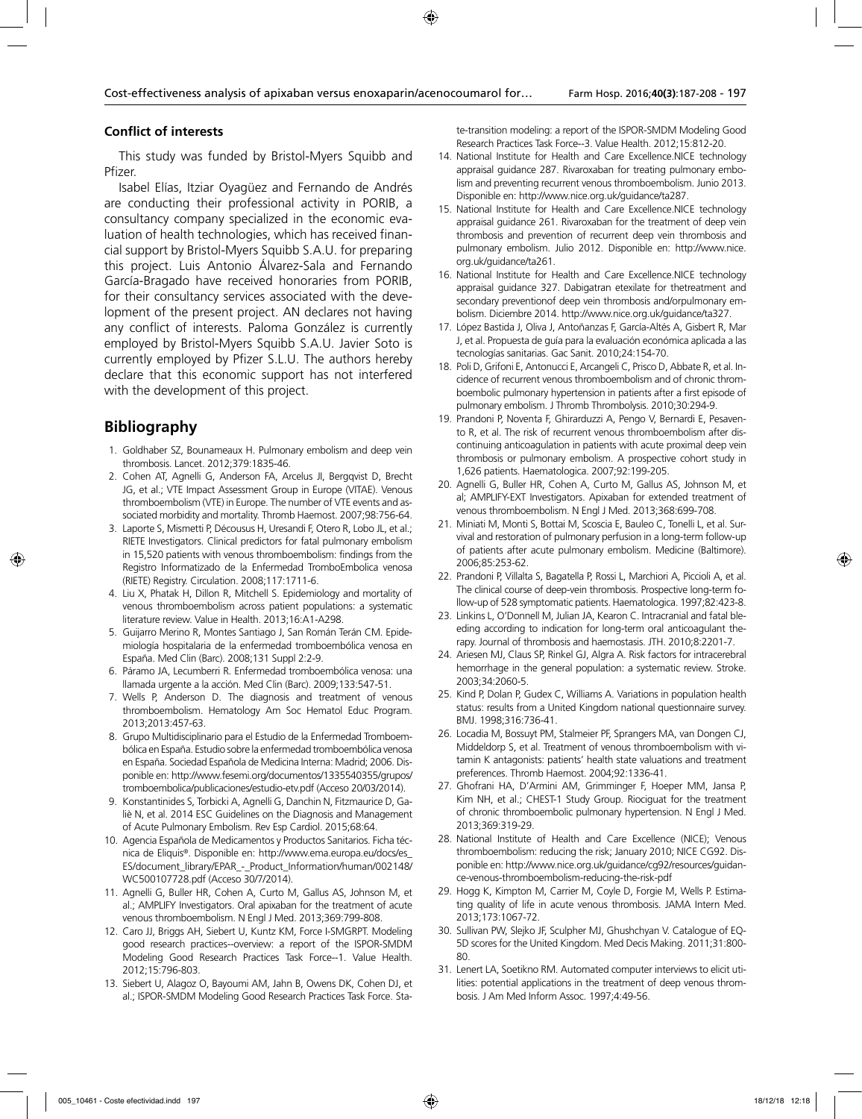### **Conflict of interests**

This study was funded by Bristol-Myers Squibb and Pfizer.

Isabel Elías, Itziar Oyagüez and Fernando de Andrés are conducting their professional activity in PORIB, a consultancy company specialized in the economic evaluation of health technologies, which has received financial support by Bristol-Myers Squibb S.A.U. for preparing this project. Luis Antonio Álvarez-Sala and Fernando García-Bragado have received honoraries from PORIB, for their consultancy services associated with the development of the present project. AN declares not having any conflict of interests. Paloma González is currently employed by Bristol-Myers Squibb S.A.U. Javier Soto is currently employed by Pfizer S.L.U. The authors hereby declare that this economic support has not interfered with the development of this project.

# **Bibliography**

- 1. Goldhaber SZ, Bounameaux H. Pulmonary embolism and deep vein thrombosis. Lancet. 2012;379:1835-46.
- 2. Cohen AT, Agnelli G, Anderson FA, Arcelus JI, Bergqvist D, Brecht JG, et al.; VTE Impact Assessment Group in Europe (VITAE). Venous thromboembolism (VTE) in Europe. The number of VTE events and associated morbidity and mortality. Thromb Haemost. 2007;98:756-64.
- 3. Laporte S, Mismetti P, Décousus H, Uresandi F, Otero R, Lobo JL, et al.; RIETE Investigators. Clinical predictors for fatal pulmonary embolism in 15,520 patients with venous thromboembolism: findings from the Registro Informatizado de la Enfermedad TromboEmbolica venosa (RIETE) Registry. Circulation. 2008;117:1711-6.
- 4. Liu X, Phatak H, Dillon R, Mitchell S. Epidemiology and mortality of venous thromboembolism across patient populations: a systematic literature review. Value in Health. 2013;16:A1-A298.
- 5. Guijarro Merino R, Montes Santiago J, San Román Terán CM. Epidemiología hospitalaria de la enfermedad tromboembólica venosa en España. Med Clin (Barc). 2008;131 Suppl 2:2-9.
- 6. Páramo JA, Lecumberri R. Enfermedad tromboembólica venosa: una llamada urgente a la acción. Med Clin (Barc). 2009;133:547-51.
- 7. Wells P, Anderson D. The diagnosis and treatment of venous thromboembolism. Hematology Am Soc Hematol Educ Program. 2013;2013:457-63.
- 8. Grupo Multidisciplinario para el Estudio de la Enfermedad Tromboembólica en España. Estudio sobre la enfermedad tromboembólica venosa en España. Sociedad Española de Medicina Interna: Madrid; 2006. Disponible en: http://www.fesemi.org/documentos/1335540355/grupos/ tromboembolica/publicaciones/estudio-etv.pdf (Acceso 20/03/2014).
- 9. Konstantinides S, Torbicki A, Agnelli G, Danchin N, Fitzmaurice D, Galiè N, et al. 2014 ESC Guidelines on the Diagnosis and Management of Acute Pulmonary Embolism. Rev Esp Cardiol. 2015;68:64.
- 10. Agencia Española de Medicamentos y Productos Sanitarios. Ficha técnica de Eliquis®. Disponible en: http://www.ema.europa.eu/docs/es\_ ES/document\_library/EPAR\_-\_Product\_Information/human/002148/ WC500107728.pdf (Acceso 30/7/2014).
- 11. Agnelli G, Buller HR, Cohen A, Curto M, Gallus AS, Johnson M, et al.; AMPLIFY Investigators. Oral apixaban for the treatment of acute venous thromboembolism. N Engl J Med. 2013;369:799-808.
- 12. Caro JJ, Briggs AH, Siebert U, Kuntz KM, Force I-SMGRPT. Modeling good research practices--overview: a report of the ISPOR-SMDM Modeling Good Research Practices Task Force--1. Value Health. 2012;15:796-803.
- 13. Siebert U, Alagoz O, Bayoumi AM, Jahn B, Owens DK, Cohen DJ, et al.; ISPOR-SMDM Modeling Good Research Practices Task Force. Sta-

te-transition modeling: a report of the ISPOR-SMDM Modeling Good Research Practices Task Force--3. Value Health. 2012;15:812-20.

- 14. National Institute for Health and Care Excellence.NICE technology appraisal guidance 287. Rivaroxaban for treating pulmonary embolism and preventing recurrent venous thromboembolism. Junio 2013. Disponible en: http://www.nice.org.uk/guidance/ta287.
- 15. National Institute for Health and Care Excellence.NICE technology appraisal guidance 261. Rivaroxaban for the treatment of deep vein thrombosis and prevention of recurrent deep vein thrombosis and pulmonary embolism. Julio 2012. Disponible en: http://www.nice. org.uk/guidance/ta261.
- 16. National Institute for Health and Care Excellence.NICE technology appraisal guidance 327. Dabigatran etexilate for thetreatment and secondary preventionof deep vein thrombosis and/orpulmonary embolism. Diciembre 2014. http://www.nice.org.uk/guidance/ta327.
- 17. López Bastida J, Oliva J, Antoñanzas F, García-Altés A, Gisbert R, Mar J, et al. Propuesta de guía para la evaluación económica aplicada a las tecnologías sanitarias. Gac Sanit. 2010;24:154-70.
- 18. Poli D, Grifoni E, Antonucci E, Arcangeli C, Prisco D, Abbate R, et al. Incidence of recurrent venous thromboembolism and of chronic thromboembolic pulmonary hypertension in patients after a first episode of pulmonary embolism. J Thromb Thrombolysis. 2010;30:294-9.
- 19. Prandoni P, Noventa F, Ghirarduzzi A, Pengo V, Bernardi E, Pesavento R, et al. The risk of recurrent venous thromboembolism after discontinuing anticoagulation in patients with acute proximal deep vein thrombosis or pulmonary embolism. A prospective cohort study in 1,626 patients. Haematologica. 2007;92:199-205.
- 20. Agnelli G, Buller HR, Cohen A, Curto M, Gallus AS, Johnson M, et al; AMPLIFY-EXT Investigators. Apixaban for extended treatment of venous thromboembolism. N Engl J Med. 2013;368:699-708.
- 21. Miniati M, Monti S, Bottai M, Scoscia E, Bauleo C, Tonelli L, et al. Survival and restoration of pulmonary perfusion in a long-term follow-up of patients after acute pulmonary embolism. Medicine (Baltimore). 2006;85:253-62.
- 22. Prandoni P, Villalta S, Bagatella P, Rossi L, Marchiori A, Piccioli A, et al. The clinical course of deep-vein thrombosis. Prospective long-term follow-up of 528 symptomatic patients. Haematologica. 1997;82:423-8.
- 23. Linkins L, O'Donnell M, Julian JA, Kearon C. Intracranial and fatal bleeding according to indication for long-term oral anticoagulant therapy. Journal of thrombosis and haemostasis. JTH. 2010;8:2201-7.
- 24. Ariesen MJ, Claus SP, Rinkel GJ, Algra A. Risk factors for intracerebral hemorrhage in the general population: a systematic review. Stroke. 2003;34:2060-5.
- 25. Kind P, Dolan P, Gudex C, Williams A. Variations in population health status: results from a United Kingdom national questionnaire survey. BMJ. 1998;316:736-41.
- 26. Locadia M, Bossuyt PM, Stalmeier PF, Sprangers MA, van Dongen CJ, Middeldorp S, et al. Treatment of venous thromboembolism with vitamin K antagonists: patients' health state valuations and treatment preferences. Thromb Haemost. 2004;92:1336-41.
- 27. Ghofrani HA, D'Armini AM, Grimminger F, Hoeper MM, Jansa P, Kim NH, et al.; CHEST-1 Study Group. Riociguat for the treatment of chronic thromboembolic pulmonary hypertension. N Engl J Med. 2013;369:319-29.
- 28. National Institute of Health and Care Excellence (NICE); Venous thromboembolism: reducing the risk; January 2010; NICE CG92. Disponible en: http://www.nice.org.uk/guidance/cg92/resources/guidance-venous-thromboembolism-reducing-the-risk-pdf
- 29. Hogg K, Kimpton M, Carrier M, Coyle D, Forgie M, Wells P. Estimating quality of life in acute venous thrombosis. JAMA Intern Med. 2013;173:1067-72.
- 30. Sullivan PW, Slejko JF, Sculpher MJ, Ghushchyan V. Catalogue of EQ-5D scores for the United Kingdom. Med Decis Making. 2011;31:800- 80.
- 31. Lenert LA, Soetikno RM. Automated computer interviews to elicit utilities: potential applications in the treatment of deep venous thrombosis. J Am Med Inform Assoc. 1997;4:49-56.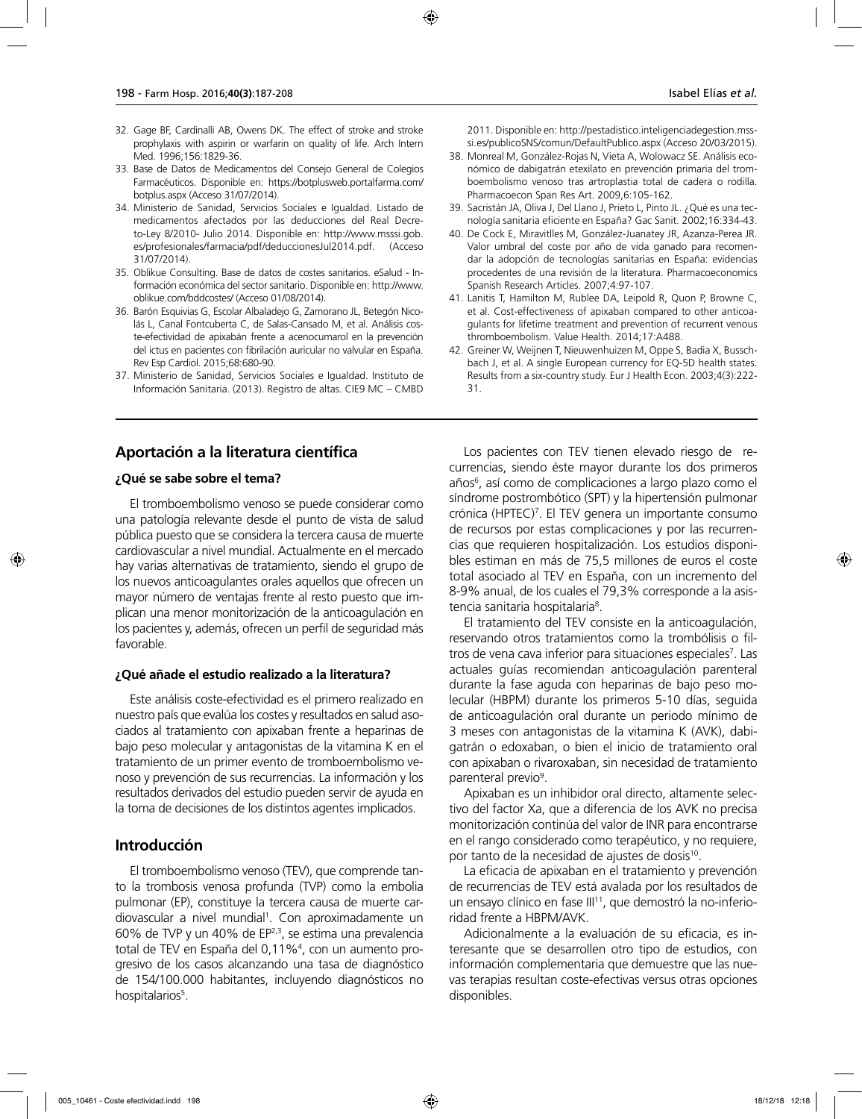- 32. Gage BF, Cardinalli AB, Owens DK. The effect of stroke and stroke prophylaxis with aspirin or warfarin on quality of life. Arch Intern Med. 1996;156:1829-36.
- 33. Base de Datos de Medicamentos del Consejo General de Colegios Farmacéuticos. Disponible en: https://botplusweb.portalfarma.com/ botplus.aspx (Acceso 31/07/2014).
- 34. Ministerio de Sanidad, Servicios Sociales e Igualdad. Listado de medicamentos afectados por las deducciones del Real Decreto-Ley 8/2010- Julio 2014. Disponible en: http://www.msssi.gob. es/profesionales/farmacia/pdf/deduccionesJul2014.pdf. (Acceso 31/07/2014).
- 35. Oblikue Consulting. Base de datos de costes sanitarios. eSalud Información económica del sector sanitario. Disponible en: http://www. oblikue.com/bddcostes/ (Acceso 01/08/2014).
- 36. Barón Esquivias G, Escolar Albaladejo G, Zamorano JL, Betegón Nicolás L, Canal Fontcuberta C, de Salas-Cansado M, et al. Análisis coste-efectividad de apixabán frente a acenocumarol en la prevención del ictus en pacientes con fibrilación auricular no valvular en España. Rev Esp Cardiol. 2015;68:680-90.
- 37. Ministerio de Sanidad, Servicios Sociales e Igualdad. Instituto de Información Sanitaria. (2013). Registro de altas. CIE9 MC – CMBD

2011. Disponible en: http://pestadistico.inteligenciadegestion.msssi.es/publicoSNS/comun/DefaultPublico.aspx (Acceso 20/03/2015).

- 38. Monreal M, González-Rojas N, Vieta A, Wolowacz SE. Análisis económico de dabigatrán etexilato en prevención primaria del tromboembolismo venoso tras artroplastia total de cadera o rodilla. Pharmacoecon Span Res Art. 2009,6:105-162.
- 39. Sacristán JA, Oliva J, Del Llano J, Prieto L, Pinto JL. ¿Qué es una tecnología sanitaria eficiente en España? Gac Sanit. 2002;16:334-43.
- 40. De Cock E, Miravitlles M, González-Juanatey JR, Azanza-Perea JR. Valor umbral del coste por año de vida ganado para recomendar la adopción de tecnologías sanitarias en España: evidencias procedentes de una revisión de la literatura. Pharmacoeconomics Spanish Research Articles. 2007;4:97-107.
- 41. Lanitis T, Hamilton M, Rublee DA, Leipold R, Quon P, Browne C, et al. Cost-effectiveness of apixaban compared to other anticoagulants for lifetime treatment and prevention of recurrent venous thromboembolism. Value Health. 2014;17:A488.
- 42. Greiner W, Weijnen T, Nieuwenhuizen M, Oppe S, Badia X, Busschbach J, et al. A single European currency for EQ-5D health states. Results from a six-country study. Eur J Health Econ. 2003;4(3):222- 31.

# **Aportación a la literatura científica**

### **¿Qué se sabe sobre el tema?**

El tromboembolismo venoso se puede considerar como una patología relevante desde el punto de vista de salud pública puesto que se considera la tercera causa de muerte cardiovascular a nivel mundial. Actualmente en el mercado hay varias alternativas de tratamiento, siendo el grupo de los nuevos anticoagulantes orales aquellos que ofrecen un mayor número de ventajas frente al resto puesto que implican una menor monitorización de la anticoagulación en los pacientes y, además, ofrecen un perfil de seguridad más favorable.

#### **¿Qué añade el estudio realizado a la literatura?**

Este análisis coste-efectividad es el primero realizado en nuestro país que evalúa los costes y resultados en salud asociados al tratamiento con apixaban frente a heparinas de bajo peso molecular y antagonistas de la vitamina K en el tratamiento de un primer evento de tromboembolismo venoso y prevención de sus recurrencias. La información y los resultados derivados del estudio pueden servir de ayuda en la toma de decisiones de los distintos agentes implicados.

# **Introducción**

El tromboembolismo venoso (TEV), que comprende tanto la trombosis venosa profunda (TVP) como la embolia pulmonar (EP), constituye la tercera causa de muerte cardiovascular a nivel mundial<sup>1</sup>. Con aproximadamente un 60% de TVP y un 40% de EP2,3, se estima una prevalencia total de TEV en España del 0,11%4 , con un aumento progresivo de los casos alcanzando una tasa de diagnóstico de 154/100.000 habitantes, incluyendo diagnósticos no hospitalarios<sup>5</sup>.

Los pacientes con TEV tienen elevado riesgo de recurrencias, siendo éste mayor durante los dos primeros años<sup>6</sup>, así como de complicaciones a largo plazo como el síndrome postrombótico (SPT) y la hipertensión pulmonar crónica (HPTEC)7 . El TEV genera un importante consumo de recursos por estas complicaciones y por las recurrencias que requieren hospitalización. Los estudios disponibles estiman en más de 75,5 millones de euros el coste total asociado al TEV en España, con un incremento del 8-9% anual, de los cuales el 79,3% corresponde a la asistencia sanitaria hospitalaria<sup>8</sup>.

El tratamiento del TEV consiste en la anticoagulación, reservando otros tratamientos como la trombólisis o filtros de vena cava inferior para situaciones especiales<sup>7</sup>. Las actuales guías recomiendan anticoagulación parenteral durante la fase aguda con heparinas de bajo peso molecular (HBPM) durante los primeros 5-10 días, seguida de anticoagulación oral durante un periodo mínimo de 3 meses con antagonistas de la vitamina K (AVK), dabigatrán o edoxaban, o bien el inicio de tratamiento oral con apixaban o rivaroxaban, sin necesidad de tratamiento parenteral previo<sup>9</sup>.

Apixaban es un inhibidor oral directo, altamente selectivo del factor Xa, que a diferencia de los AVK no precisa monitorización continúa del valor de INR para encontrarse en el rango considerado como terapéutico, y no requiere, por tanto de la necesidad de ajustes de dosis10.

La eficacia de apixaban en el tratamiento y prevención de recurrencias de TEV está avalada por los resultados de un ensayo clínico en fase III<sup>11</sup>, que demostró la no-inferioridad frente a HBPM/AVK.

Adicionalmente a la evaluación de su eficacia, es interesante que se desarrollen otro tipo de estudios, con información complementaria que demuestre que las nuevas terapias resultan coste-efectivas versus otras opciones disponibles.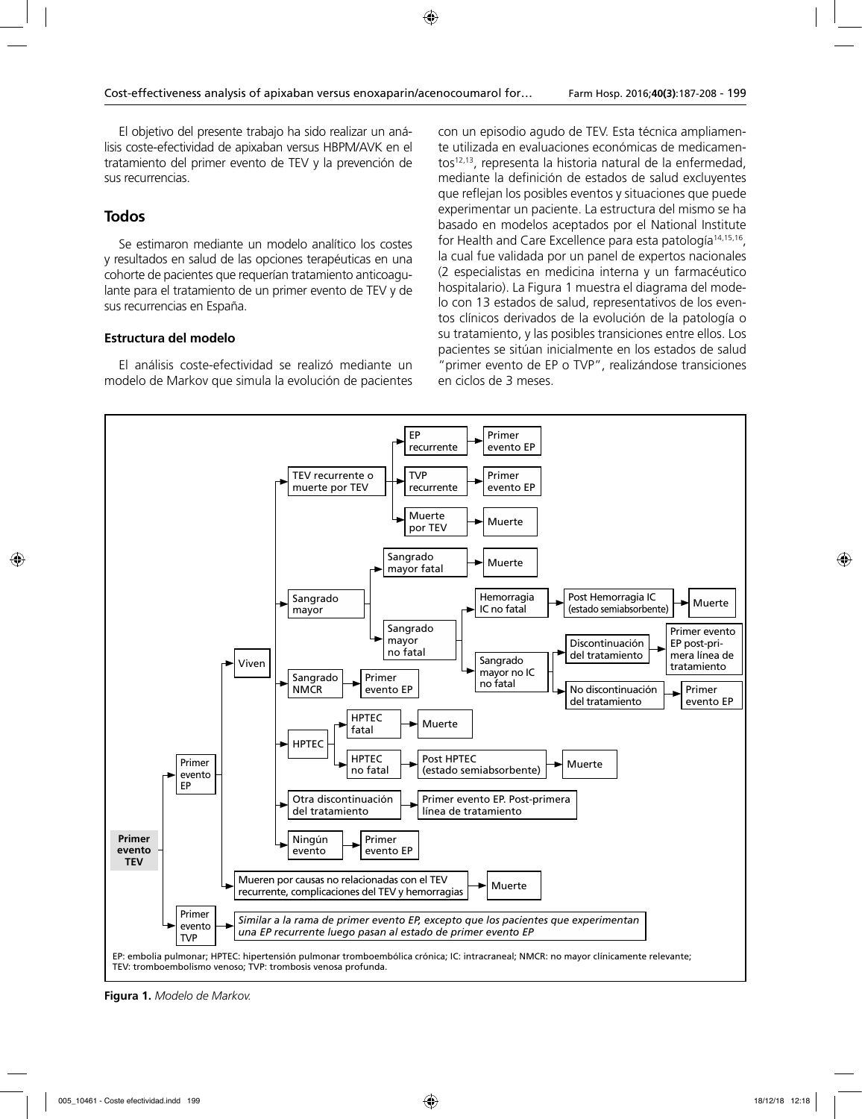El objetivo del presente trabajo ha sido realizar un análisis coste-efectividad de apixaban versus HBPM/AVK en el tratamiento del primer evento de TEV y la prevención de sus recurrencias.

# **Todos**

Se estimaron mediante un modelo analítico los costes y resultados en salud de las opciones terapéuticas en una cohorte de pacientes que requerían tratamiento anticoagulante para el tratamiento de un primer evento de TEV y de sus recurrencias en España.

# **Estructura del modelo**

El análisis coste-efectividad se realizó mediante un modelo de Markov que simula la evolución de pacientes con un episodio agudo de TEV. Esta técnica ampliamente utilizada en evaluaciones económicas de medicamentos12,13, representa la historia natural de la enfermedad, mediante la definición de estados de salud excluyentes que reflejan los posibles eventos y situaciones que puede experimentar un paciente. La estructura del mismo se ha basado en modelos aceptados por el National Institute for Health and Care Excellence para esta patología<sup>14,15,16</sup>, la cual fue validada por un panel de expertos nacionales (2 especialistas en medicina interna y un farmacéutico hospitalario). La Figura 1 muestra el diagrama del modelo con 13 estados de salud, representativos de los eventos clínicos derivados de la evolución de la patología o su tratamiento, y las posibles transiciones entre ellos. Los pacientes se sitúan inicialmente en los estados de salud "primer evento de EP o TVP", realizándose transiciones en ciclos de 3 meses.



**Figura 1.** *Modelo de Markov.*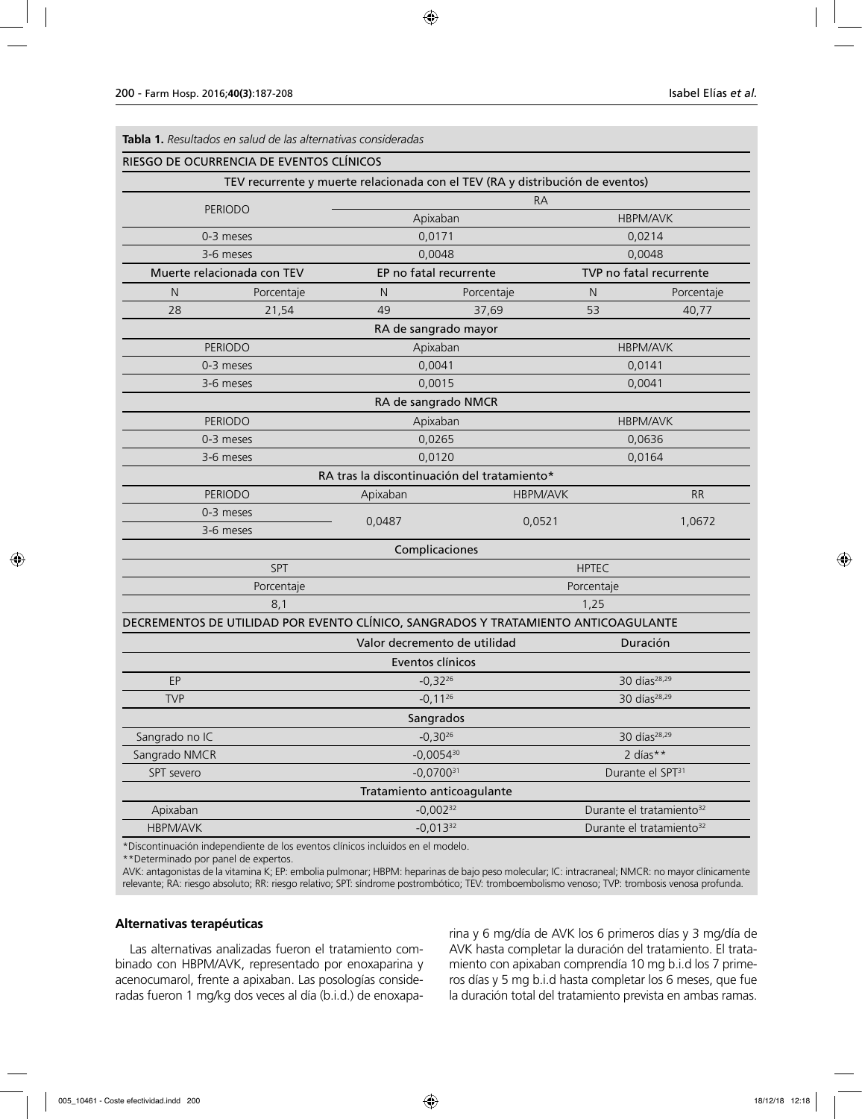| <b>Tabla 1.</b> Resultados en salud de las alternativas consideradas |
|----------------------------------------------------------------------|
|----------------------------------------------------------------------|

|                 | RIESGO DE OCURRENCIA DE EVENTOS CLÍNICOS                                           |                                                                               |                 |                          |                                      |  |
|-----------------|------------------------------------------------------------------------------------|-------------------------------------------------------------------------------|-----------------|--------------------------|--------------------------------------|--|
|                 |                                                                                    | TEV recurrente y muerte relacionada con el TEV (RA y distribución de eventos) |                 |                          |                                      |  |
| <b>PERIODO</b>  |                                                                                    | <b>RA</b>                                                                     |                 |                          |                                      |  |
|                 |                                                                                    | Apixaban                                                                      |                 |                          | <b>HBPM/AVK</b>                      |  |
| 0-3 meses       |                                                                                    | 0,0171                                                                        |                 |                          | 0,0214                               |  |
|                 | 3-6 meses                                                                          | 0,0048                                                                        |                 |                          | 0,0048                               |  |
|                 | Muerte relacionada con TEV                                                         | EP no fatal recurrente                                                        |                 |                          | TVP no fatal recurrente              |  |
| N               | Porcentaje                                                                         | N                                                                             | Porcentaje      | N                        | Porcentaje                           |  |
| 28              | 21,54                                                                              | 49                                                                            | 37,69           | 53                       | 40,77                                |  |
|                 |                                                                                    | RA de sangrado mayor                                                          |                 |                          |                                      |  |
|                 | <b>PERIODO</b>                                                                     | Apixaban                                                                      |                 |                          | <b>HBPM/AVK</b>                      |  |
|                 | 0-3 meses                                                                          | 0,0041                                                                        |                 |                          | 0,0141                               |  |
|                 | 3-6 meses                                                                          | 0,0015                                                                        |                 |                          | 0,0041                               |  |
|                 |                                                                                    | RA de sangrado NMCR                                                           |                 |                          |                                      |  |
|                 | <b>PERIODO</b>                                                                     | Apixaban                                                                      |                 |                          | <b>HBPM/AVK</b>                      |  |
|                 | 0-3 meses                                                                          | 0,0265                                                                        |                 | 0,0636                   |                                      |  |
|                 | 3-6 meses                                                                          | 0,0120                                                                        |                 | 0,0164                   |                                      |  |
|                 |                                                                                    | RA tras la discontinuación del tratamiento*                                   |                 |                          |                                      |  |
|                 | <b>PERIODO</b>                                                                     | Apixaban                                                                      | <b>HBPM/AVK</b> |                          | <b>RR</b>                            |  |
|                 | 0-3 meses                                                                          |                                                                               |                 |                          | 1,0672                               |  |
| 3-6 meses       |                                                                                    | 0,0487                                                                        | 0,0521          |                          |                                      |  |
|                 |                                                                                    | Complicaciones                                                                |                 |                          |                                      |  |
|                 | SPT                                                                                |                                                                               |                 | <b>HPTEC</b>             |                                      |  |
|                 | Porcentaje                                                                         |                                                                               |                 | Porcentaje               |                                      |  |
|                 | 8,1                                                                                |                                                                               |                 | 1,25                     |                                      |  |
|                 | DECREMENTOS DE UTILIDAD POR EVENTO CLÍNICO, SANGRADOS Y TRATAMIENTO ANTICOAGULANTE |                                                                               |                 |                          |                                      |  |
|                 |                                                                                    | Valor decremento de utilidad                                                  |                 |                          | Duración                             |  |
|                 |                                                                                    | Eventos clínicos                                                              |                 |                          |                                      |  |
| EP              |                                                                                    | $-0,32^{26}$                                                                  |                 |                          | 30 días <sup>28,29</sup>             |  |
| <b>TVP</b>      |                                                                                    | $-0,11^{26}$                                                                  |                 | 30 días <sup>28,29</sup> |                                      |  |
|                 |                                                                                    | Sangrados                                                                     |                 |                          |                                      |  |
| Sangrado no IC  |                                                                                    | $-0,30^{26}$                                                                  |                 |                          | 30 días <sup>28,29</sup>             |  |
| Sangrado NMCR   |                                                                                    | $-0,0054^{30}$                                                                |                 |                          | 2 días**                             |  |
| SPT severo      |                                                                                    | $-0,0700^{31}$                                                                |                 |                          | Durante el SPT <sup>31</sup>         |  |
|                 |                                                                                    | Tratamiento anticoagulante                                                    |                 |                          |                                      |  |
| Apixaban        |                                                                                    | $-0,002^{32}$                                                                 |                 |                          | Durante el tratamiento <sup>32</sup> |  |
| <b>HBPM/AVK</b> |                                                                                    | $-0,013^{32}$                                                                 |                 |                          | Durante el tratamiento <sup>32</sup> |  |
|                 |                                                                                    |                                                                               |                 |                          |                                      |  |

\*Discontinuación independiente de los eventos clínicos incluidos en el modelo.

\*\*Determinado por panel de expertos.

AVK: antagonistas de la vitamina K; EP: embolia pulmonar; HBPM: heparinas de bajo peso molecular; IC: intracraneal; NMCR: no mayor clínicamente relevante; RA: riesgo absoluto; RR: riesgo relativo; SPT: síndrome postrombótico; TEV: tromboembolismo venoso; TVP: trombosis venosa profunda.

#### **Alternativas terapéuticas**

Las alternativas analizadas fueron el tratamiento combinado con HBPM/AVK, representado por enoxaparina y acenocumarol, frente a apixaban. Las posologías consideradas fueron 1 mg/kg dos veces al día (b.i.d.) de enoxaparina y 6 mg/día de AVK los 6 primeros días y 3 mg/día de AVK hasta completar la duración del tratamiento. El tratamiento con apixaban comprendía 10 mg b.i.d los 7 primeros días y 5 mg b.i.d hasta completar los 6 meses, que fue la duración total del tratamiento prevista en ambas ramas.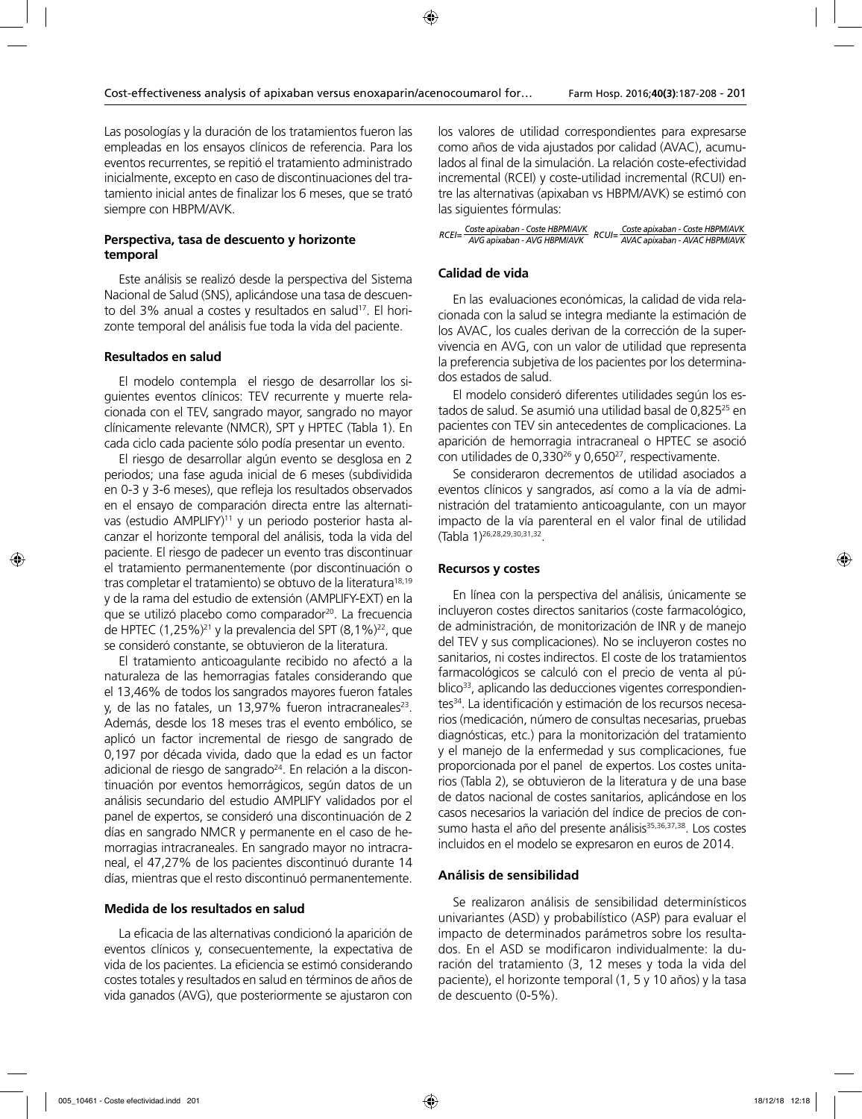Las posologías y la duración de los tratamientos fueron las empleadas en los ensayos clínicos de referencia. Para los eventos recurrentes, se repitió el tratamiento administrado inicialmente, excepto en caso de discontinuaciones del tratamiento inicial antes de finalizar los 6 meses, que se trató siempre con HBPM/AVK.

# **Perspectiva, tasa de descuento y horizonte temporal**

Este análisis se realizó desde la perspectiva del Sistema Nacional de Salud (SNS), aplicándose una tasa de descuento del 3% anual a costes y resultados en salud<sup>17</sup>. El horizonte temporal del análisis fue toda la vida del paciente.

# **Resultados en salud**

El modelo contempla el riesgo de desarrollar los siguientes eventos clínicos: TEV recurrente y muerte relacionada con el TEV, sangrado mayor, sangrado no mayor clínicamente relevante (NMCR), SPT y HPTEC (Tabla 1). En cada ciclo cada paciente sólo podía presentar un evento.

El riesgo de desarrollar algún evento se desglosa en 2 periodos; una fase aguda inicial de 6 meses (subdividida en 0-3 y 3-6 meses), que refleja los resultados observados en el ensayo de comparación directa entre las alternativas (estudio AMPLIFY)<sup>11</sup> y un periodo posterior hasta alcanzar el horizonte temporal del análisis, toda la vida del paciente. El riesgo de padecer un evento tras discontinuar el tratamiento permanentemente (por discontinuación o tras completar el tratamiento) se obtuvo de la literatura<sup>18,19</sup> y de la rama del estudio de extensión (AMPLIFY-EXT) en la que se utilizó placebo como comparador<sup>20</sup>. La frecuencia de HPTEC (1,25%)<sup>21</sup> y la prevalencia del SPT (8,1%)<sup>22</sup>, que se consideró constante, se obtuvieron de la literatura.

El tratamiento anticoagulante recibido no afectó a la naturaleza de las hemorragias fatales considerando que el 13,46% de todos los sangrados mayores fueron fatales y, de las no fatales, un 13,97% fueron intracraneales<sup>23</sup>. Además, desde los 18 meses tras el evento embólico, se aplicó un factor incremental de riesgo de sangrado de 0,197 por década vivida, dado que la edad es un factor adicional de riesgo de sangrado<sup>24</sup>. En relación a la discontinuación por eventos hemorrágicos, según datos de un análisis secundario del estudio AMPLIFY validados por el panel de expertos, se consideró una discontinuación de 2 días en sangrado NMCR y permanente en el caso de hemorragias intracraneales. En sangrado mayor no intracraneal, el 47,27% de los pacientes discontinuó durante 14 días, mientras que el resto discontinuó permanentemente.

# **Medida de los resultados en salud**

La eficacia de las alternativas condicionó la aparición de eventos clínicos y, consecuentemente, la expectativa de vida de los pacientes. La eficiencia se estimó considerando costes totales y resultados en salud en términos de años de vida ganados (AVG), que posteriormente se ajustaron con

los valores de utilidad correspondientes para expresarse como años de vida ajustados por calidad (AVAC), acumulados al final de la simulación. La relación coste-efectividad incremental (RCEI) y coste-utilidad incremental (RCUI) entre las alternativas (apixaban vs HBPM/AVK) se estimó con las siguientes fórmulas:

|  | RCEI= Coste apixaban - Coste HBPMIAVK<br>RCEI= AVG apixaban - AVG HBPMIAVK RCUI= COSte apixaban - AVAC HBPMIAVK |
|--|-----------------------------------------------------------------------------------------------------------------|

# **Calidad de vida**

En las evaluaciones económicas, la calidad de vida relacionada con la salud se integra mediante la estimación de los AVAC, los cuales derivan de la corrección de la supervivencia en AVG, con un valor de utilidad que representa la preferencia subjetiva de los pacientes por los determinados estados de salud.

El modelo consideró diferentes utilidades según los estados de salud. Se asumió una utilidad basal de 0,825<sup>25</sup> en pacientes con TEV sin antecedentes de complicaciones. La aparición de hemorragia intracraneal o HPTEC se asoció con utilidades de 0,330<sup>26</sup> y 0,650<sup>27</sup>, respectivamente.

Se consideraron decrementos de utilidad asociados a eventos clínicos y sangrados, así como a la vía de administración del tratamiento anticoagulante, con un mayor impacto de la vía parenteral en el valor final de utilidad (Tabla 1)26,28,29,30,31,32.

# **Recursos y costes**

En línea con la perspectiva del análisis, únicamente se incluyeron costes directos sanitarios (coste farmacológico, de administración, de monitorización de INR y de manejo del TEV y sus complicaciones). No se incluyeron costes no sanitarios, ni costes indirectos. El coste de los tratamientos farmacológicos se calculó con el precio de venta al público<sup>33</sup>, aplicando las deducciones vigentes correspondientes<sup>34</sup>. La identificación y estimación de los recursos necesarios (medicación, número de consultas necesarias, pruebas diagnósticas, etc.) para la monitorización del tratamiento y el manejo de la enfermedad y sus complicaciones, fue proporcionada por el panel de expertos. Los costes unitarios (Tabla 2), se obtuvieron de la literatura y de una base de datos nacional de costes sanitarios, aplicándose en los casos necesarios la variación del índice de precios de consumo hasta el año del presente análisis<sup>35,36,37,38</sup>. Los costes incluidos en el modelo se expresaron en euros de 2014.

# **Análisis de sensibilidad**

Se realizaron análisis de sensibilidad determinísticos univariantes (ASD) y probabilístico (ASP) para evaluar el impacto de determinados parámetros sobre los resultados. En el ASD se modificaron individualmente: la duración del tratamiento (3, 12 meses y toda la vida del paciente), el horizonte temporal (1, 5 y 10 años) y la tasa de descuento (0-5%).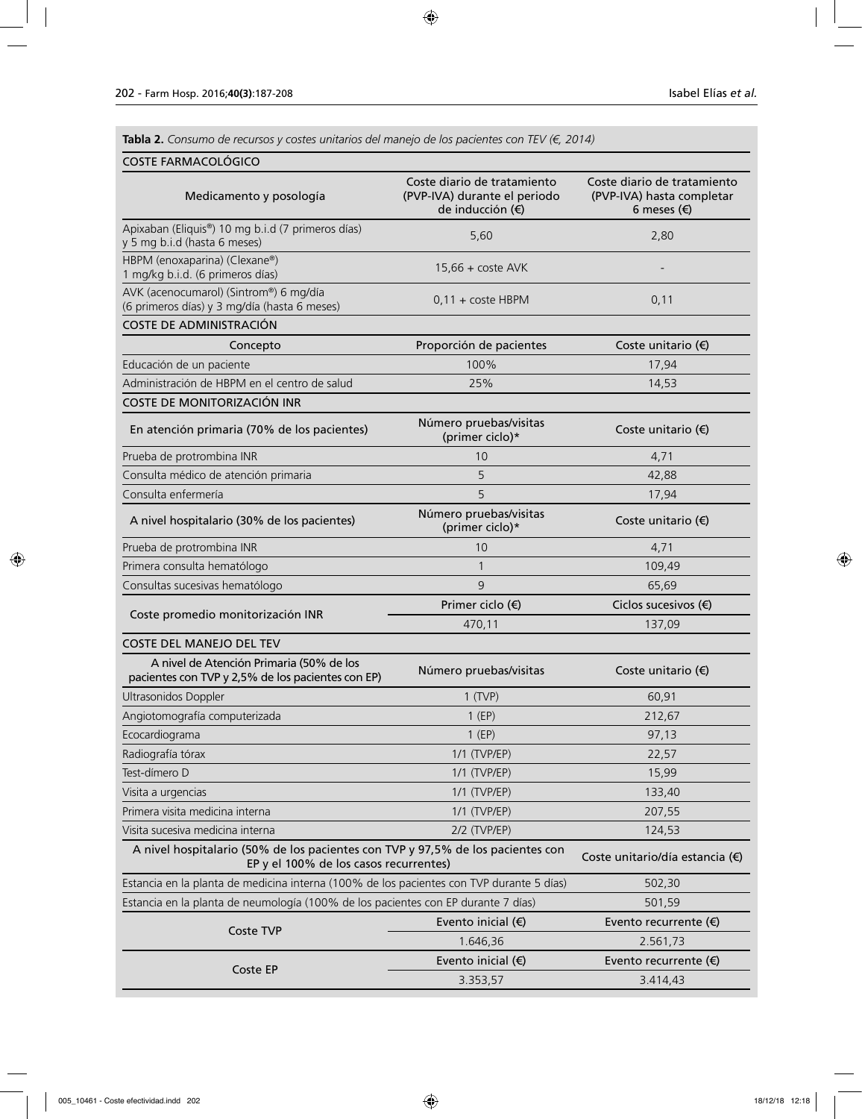**Tabla 2.** *Consumo de recursos y costes unitarios del manejo de los pacientes con TEV (€, 2014)*

# COSTE FARMACOLÓGICO

| Medicamento y posología                                                                                                   | Coste diario de tratamiento<br>(PVP-IVA) durante el periodo<br>de inducción (€) | Coste diario de tratamiento<br>(PVP-IVA) hasta completar<br>6 meses $(\epsilon)$ |  |
|---------------------------------------------------------------------------------------------------------------------------|---------------------------------------------------------------------------------|----------------------------------------------------------------------------------|--|
| Apixaban (Eliquis®) 10 mg b.i.d (7 primeros días)<br>y 5 mg b.i.d (hasta 6 meses)                                         | 5,60                                                                            | 2,80                                                                             |  |
| HBPM (enoxaparina) (Clexane®)<br>1 mg/kg b i.d. (6 primeros días)                                                         | $15.66 + \text{cost}$ e AVK                                                     |                                                                                  |  |
| AVK (acenocumarol) (Sintrom®) 6 mg/día<br>(6 primeros días) y 3 mg/día (hasta 6 meses)                                    | $0,11 + \text{cost}$ HBPM                                                       | 0,11                                                                             |  |
| COSTE DE ADMINISTRACIÓN                                                                                                   |                                                                                 |                                                                                  |  |
| Concepto                                                                                                                  | Proporción de pacientes                                                         | Coste unitario $(\epsilon)$                                                      |  |
| Educación de un paciente                                                                                                  | 100%                                                                            | 17,94                                                                            |  |
| Administración de HBPM en el centro de salud                                                                              | 25%                                                                             | 14,53                                                                            |  |
| COSTE DE MONITORIZACIÓN INR                                                                                               |                                                                                 |                                                                                  |  |
| En atención primaria (70% de los pacientes)                                                                               | Número pruebas/visitas<br>(primer ciclo)*                                       | Coste unitario $(\epsilon)$                                                      |  |
| Prueba de protrombina INR                                                                                                 | 10                                                                              | 4,71                                                                             |  |
| Consulta médico de atención primaria                                                                                      | 5                                                                               | 42,88                                                                            |  |
| Consulta enfermería                                                                                                       | 5                                                                               | 17,94                                                                            |  |
| A nivel hospitalario (30% de los pacientes)                                                                               | Número pruebas/visitas<br>(primer ciclo)*                                       | Coste unitario $(\epsilon)$                                                      |  |
| Prueba de protrombina INR                                                                                                 | 10                                                                              | 4,71                                                                             |  |
| Primera consulta hematólogo                                                                                               | $\mathbf{1}$                                                                    | 109,49                                                                           |  |
| Consultas sucesivas hematólogo                                                                                            | 9                                                                               | 65,69                                                                            |  |
|                                                                                                                           | Primer ciclo $(\epsilon)$                                                       | Ciclos sucesivos $(\epsilon)$                                                    |  |
| Coste promedio monitorización INR                                                                                         | 470,11                                                                          | 137,09                                                                           |  |
| <b>COSTE DEL MANEJO DEL TEV</b>                                                                                           |                                                                                 |                                                                                  |  |
| A nivel de Atención Primaria (50% de los<br>pacientes con TVP y 2,5% de los pacientes con EP)                             | Número pruebas/visitas                                                          | Coste unitario $(\epsilon)$                                                      |  |
| Ultrasonidos Doppler                                                                                                      | $1$ (TVP)                                                                       | 60,91                                                                            |  |
| Angiotomografía computerizada                                                                                             | $1$ (EP)                                                                        | 212,67                                                                           |  |
| Ecocardiograma                                                                                                            | $1$ (EP)                                                                        | 97,13                                                                            |  |
| Radiografía tórax                                                                                                         | 1/1 (TVP/EP)                                                                    | 22,57                                                                            |  |
| Test-dímero D                                                                                                             | 1/1 (TVP/EP)                                                                    | 15,99                                                                            |  |
| Visita a urgencias                                                                                                        | 1/1 (TVP/EP)                                                                    | 133,40                                                                           |  |
| Primera visita medicina interna                                                                                           | 1/1 (TVP/EP)                                                                    | 207,55                                                                           |  |
| Visita sucesiva medicina interna                                                                                          | $2/2$ (TVP/EP)                                                                  | 124,53                                                                           |  |
| A nivel hospitalario (50% de los pacientes con TVP y 97,5% de los pacientes con<br>EP y el 100% de los casos recurrentes) |                                                                                 | Coste unitario/día estancia (€)                                                  |  |
| Estancia en la planta de medicina interna (100% de los pacientes con TVP durante 5 días)                                  |                                                                                 | 502,30                                                                           |  |
| Estancia en la planta de neumología (100% de los pacientes con EP durante 7 días)                                         |                                                                                 | 501,59                                                                           |  |
|                                                                                                                           | Evento inicial $($ )                                                            | Evento recurrente $(\epsilon)$                                                   |  |
| Coste TVP                                                                                                                 | 1.646,36                                                                        | 2.561,73                                                                         |  |
|                                                                                                                           | Evento inicial $($ )                                                            | Evento recurrente $(\epsilon)$                                                   |  |
| Coste EP                                                                                                                  | 3.353,57                                                                        | 3.414,43                                                                         |  |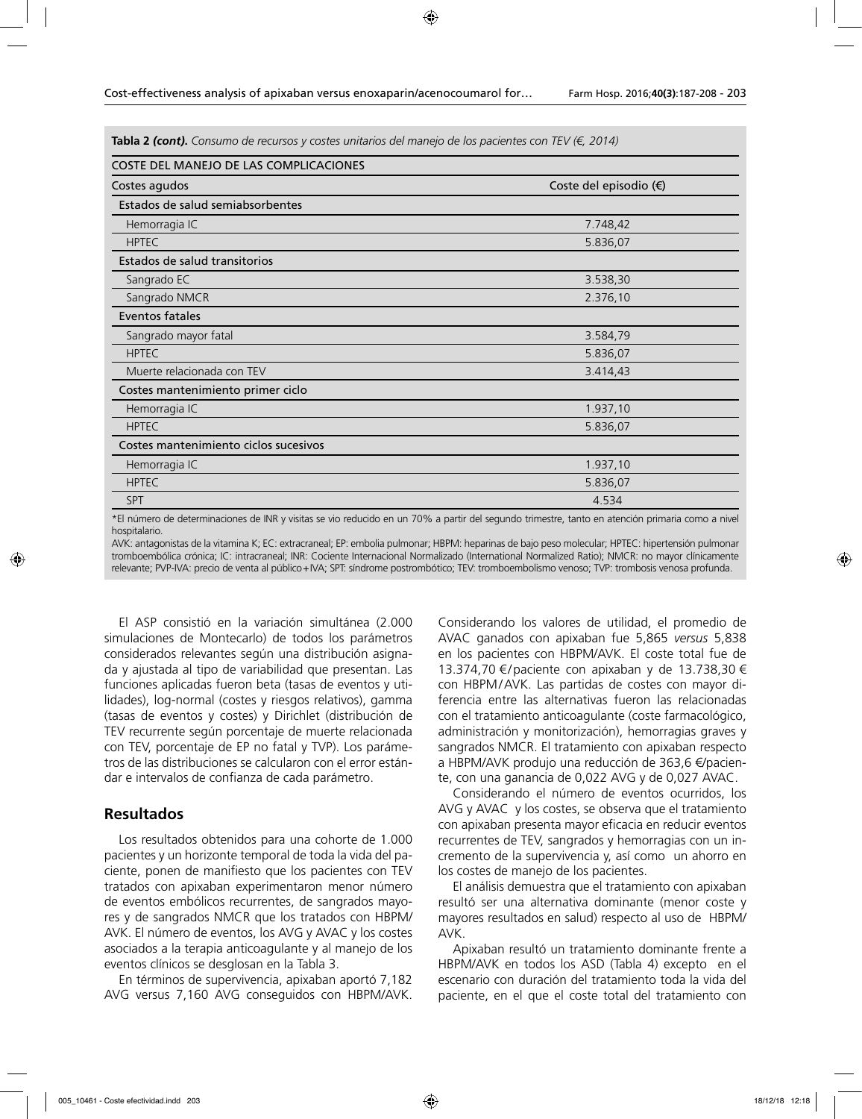**Tabla 2** *(cont)***.** *Consumo de recursos y costes unitarios del manejo de los pacientes con TEV (€, 2014)*

| COSTE DEL MANEJO DE LAS COMPLICACIONES |                        |  |  |  |  |  |
|----------------------------------------|------------------------|--|--|--|--|--|
| Costes agudos                          | Coste del episodio (€) |  |  |  |  |  |
| Estados de salud semiabsorbentes       |                        |  |  |  |  |  |
| Hemorragia IC                          | 7.748,42               |  |  |  |  |  |
| <b>HPTEC</b>                           | 5.836,07               |  |  |  |  |  |
| Estados de salud transitorios          |                        |  |  |  |  |  |
| Sangrado EC                            | 3.538,30               |  |  |  |  |  |
| Sangrado NMCR                          | 2.376,10               |  |  |  |  |  |
| Eventos fatales                        |                        |  |  |  |  |  |
| Sangrado mayor fatal                   | 3.584,79               |  |  |  |  |  |
| <b>HPTEC</b>                           | 5.836,07               |  |  |  |  |  |
| Muerte relacionada con TEV             | 3.414,43               |  |  |  |  |  |
| Costes mantenimiento primer ciclo      |                        |  |  |  |  |  |
| Hemorragia IC                          | 1.937,10               |  |  |  |  |  |
| <b>HPTEC</b>                           | 5.836,07               |  |  |  |  |  |
| Costes mantenimiento ciclos sucesivos  |                        |  |  |  |  |  |
| Hemorragia IC                          | 1.937,10               |  |  |  |  |  |
| <b>HPTEC</b>                           | 5.836,07               |  |  |  |  |  |
| <b>SPT</b>                             | 4.534                  |  |  |  |  |  |

\*El número de determinaciones de INR y visitas se vio reducido en un 70% a partir del segundo trimestre, tanto en atención primaria como a nivel hospitalario.

AVK: antagonistas de la vitamina K; EC: extracraneal; EP: embolia pulmonar; HBPM: heparinas de bajo peso molecular; HPTEC: hipertensión pulmonar tromboembólica crónica; IC: intracraneal; INR: Cociente Internacional Normalizado (International Normalized Ratio); NMCR: no mayor clínicamente relevante; PVP-IVA: precio de venta al público+IVA; SPT: síndrome postrombótico; TEV: tromboembolismo venoso; TVP: trombosis venosa profunda.

El ASP consistió en la variación simultánea (2.000 simulaciones de Montecarlo) de todos los parámetros considerados relevantes según una distribución asignada y ajustada al tipo de variabilidad que presentan. Las funciones aplicadas fueron beta (tasas de eventos y utilidades), log-normal (costes y riesgos relativos), gamma (tasas de eventos y costes) y Dirichlet (distribución de TEV recurrente según porcentaje de muerte relacionada con TEV, porcentaje de EP no fatal y TVP). Los parámetros de las distribuciones se calcularon con el error estándar e intervalos de confianza de cada parámetro.

# **Resultados**

Los resultados obtenidos para una cohorte de 1.000 pacientes y un horizonte temporal de toda la vida del paciente, ponen de manifiesto que los pacientes con TEV tratados con apixaban experimentaron menor número de eventos embólicos recurrentes, de sangrados mayores y de sangrados NMCR que los tratados con HBPM/ AVK. El número de eventos, los AVG y AVAC y los costes asociados a la terapia anticoagulante y al manejo de los eventos clínicos se desglosan en la Tabla 3.

En términos de supervivencia, apixaban aportó 7,182 AVG versus 7,160 AVG conseguidos con HBPM/AVK.

Considerando los valores de utilidad, el promedio de AVAC ganados con apixaban fue 5,865 *versus* 5,838 en los pacientes con HBPM/AVK. El coste total fue de 13.374,70 €/paciente con apixaban y de 13.738,30 € con HBPM/AVK. Las partidas de costes con mayor diferencia entre las alternativas fueron las relacionadas con el tratamiento anticoagulante (coste farmacológico, administración y monitorización), hemorragias graves y sangrados NMCR. El tratamiento con apixaban respecto a HBPM/AVK produjo una reducción de 363,6 €/paciente, con una ganancia de 0,022 AVG y de 0,027 AVAC.

Considerando el número de eventos ocurridos, los AVG y AVAC y los costes, se observa que el tratamiento con apixaban presenta mayor eficacia en reducir eventos recurrentes de TEV, sangrados y hemorragias con un incremento de la supervivencia y, así como un ahorro en los costes de manejo de los pacientes.

El análisis demuestra que el tratamiento con apixaban resultó ser una alternativa dominante (menor coste y mayores resultados en salud) respecto al uso de HBPM/ AVK.

Apixaban resultó un tratamiento dominante frente a HBPM/AVK en todos los ASD (Tabla 4) excepto en el escenario con duración del tratamiento toda la vida del paciente, en el que el coste total del tratamiento con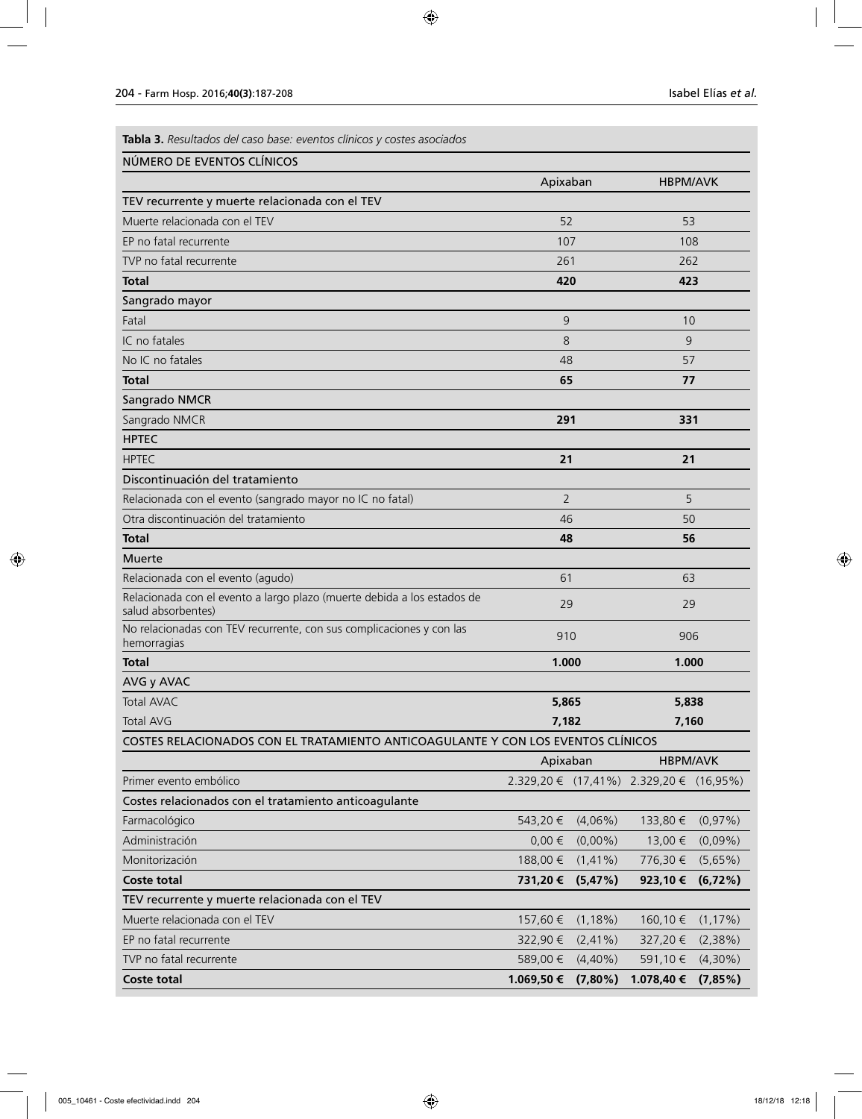**Tabla 3.** *Resultados del caso base: eventos clínicos y costes asociados*

| NUMERO DE EVENTOS CLINICOS                                                                    |                |             |                                         |             |  |
|-----------------------------------------------------------------------------------------------|----------------|-------------|-----------------------------------------|-------------|--|
|                                                                                               | Apixaban       |             | <b>HBPM/AVK</b>                         |             |  |
| TEV recurrente y muerte relacionada con el TEV                                                |                |             |                                         |             |  |
| Muerte relacionada con el TEV                                                                 | 52             |             | 53                                      |             |  |
| EP no fatal recurrente                                                                        | 107            |             | 108                                     |             |  |
| TVP no fatal recurrente                                                                       | 261            |             | 262                                     |             |  |
| Total                                                                                         | 420            |             | 423                                     |             |  |
| Sangrado mayor                                                                                |                |             |                                         |             |  |
| Fatal                                                                                         | 9              |             | 10                                      |             |  |
| IC no fatales                                                                                 | 8              |             | 9                                       |             |  |
| No IC no fatales                                                                              | 48             |             | 57                                      |             |  |
| <b>Total</b>                                                                                  | 65             |             | 77                                      |             |  |
| Sangrado NMCR                                                                                 |                |             |                                         |             |  |
| Sangrado NMCR                                                                                 | 291            |             | 331                                     |             |  |
| <b>HPTEC</b>                                                                                  |                |             |                                         |             |  |
| <b>HPTEC</b>                                                                                  | 21             |             | 21                                      |             |  |
| Discontinuación del tratamiento                                                               |                |             |                                         |             |  |
| Relacionada con el evento (sangrado mayor no IC no fatal)                                     | $\overline{2}$ |             | 5                                       |             |  |
| Otra discontinuación del tratamiento                                                          | 46             |             | 50                                      |             |  |
| <b>Total</b>                                                                                  | 48             |             | 56                                      |             |  |
| <b>Muerte</b>                                                                                 |                |             |                                         |             |  |
| Relacionada con el evento (agudo)                                                             | 61             |             | 63                                      |             |  |
| Relacionada con el evento a largo plazo (muerte debida a los estados de<br>salud absorbentes) | 29             |             | 29                                      |             |  |
| No relacionadas con TEV recurrente, con sus complicaciones y con las<br>hemorragias           | 910            |             | 906                                     |             |  |
| <b>Total</b>                                                                                  | 1.000          |             | 1.000                                   |             |  |
| AVG y AVAC                                                                                    |                |             |                                         |             |  |
| <b>Total AVAC</b>                                                                             | 5,865          |             |                                         | 5,838       |  |
| <b>Total AVG</b>                                                                              | 7,182          |             | 7,160                                   |             |  |
| COSTES RELACIONADOS CON EL TRATAMIENTO ANTICOAGULANTE Y CON LOS EVENTOS CLÍNICOS              |                |             |                                         |             |  |
|                                                                                               | Apixaban       |             | <b>HBPM/AVK</b>                         |             |  |
| Primer evento embólico                                                                        |                |             | 2.329,20 € (17,41%) 2.329,20 € (16,95%) |             |  |
| Costes relacionados con el tratamiento anticoagulante                                         |                |             |                                         |             |  |
| Farmacológico                                                                                 | 543,20 €       | $(4,06\%)$  | 133,80 €                                | (0,97%)     |  |
| Administración                                                                                | $0,00 \in$     | $(0,00\%)$  | 13,00 €                                 | $(0,09\%)$  |  |
| Monitorización                                                                                | 188,00 €       | $(1, 41\%)$ | 776,30 €                                | (5,65%)     |  |
| <b>Coste total</b>                                                                            | 731,20€        | (5,47%)     | 923,10€                                 | (6,72%)     |  |
| TEV recurrente y muerte relacionada con el TEV                                                |                |             |                                         |             |  |
| Muerte relacionada con el TEV                                                                 | 157,60 €       | $(1,18\%)$  | 160,10 €                                | $(1, 17\%)$ |  |
| EP no fatal recurrente                                                                        | 322,90 €       | $(2,41\%)$  | 327,20€                                 | (2,38%)     |  |
| TVP no fatal recurrente                                                                       | 589,00 €       | $(4,40\%)$  | 591,10€                                 | $(4,30\%)$  |  |
| Coste total                                                                                   | 1.069,50 €     | $(7,80\%)$  | 1.078,40 €                              | (7,85%)     |  |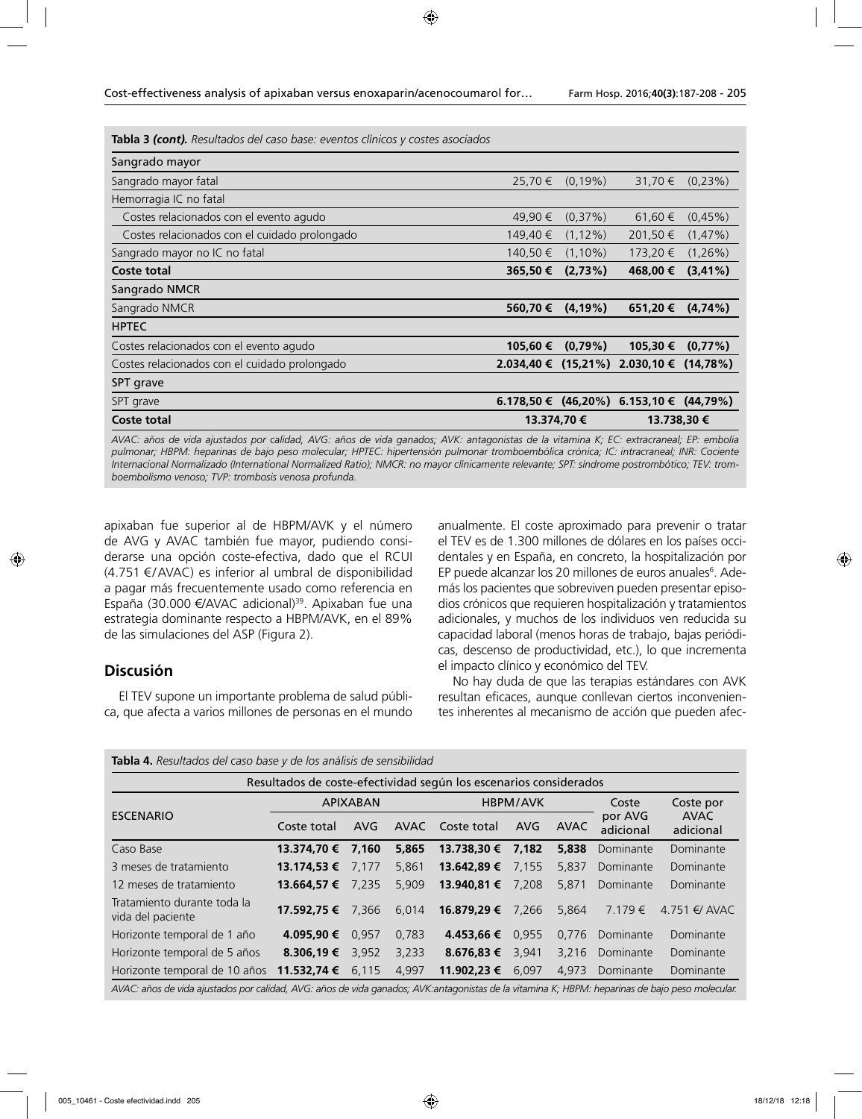**Tabla 3** *(cont). Resultados del caso base: eventos clínicos y costes asociados*

| Sangrado mayor                                |                          |             |                          |             |
|-----------------------------------------------|--------------------------|-------------|--------------------------|-------------|
| Sangrado mayor fatal                          | 25,70 €                  | $(0.19\%)$  | 31,70 €                  | $(0.23\%)$  |
| Hemorragia IC no fatal                        |                          |             |                          |             |
| Costes relacionados con el evento agudo       | 49,90 €                  | $(0.37\%)$  | 61,60 €                  | $(0.45\%)$  |
| Costes relacionados con el cuidado prolongado | 149,40 €                 | $(1, 12\%)$ | 201,50 €                 | $(1,47\%)$  |
| Sangrado mayor no IC no fatal                 | 140.50 €                 | $(1.10\%)$  | 173,20 €                 | $(1,26\%)$  |
| Coste total                                   | 365,50€                  | (2,73%)     | 468,00 €                 | $(3, 41\%)$ |
| Sangrado NMCR                                 |                          |             |                          |             |
| Sangrado NMCR                                 | 560,70€                  | $(4, 19\%)$ | 651,20€                  | (4,74%)     |
| <b>HPTEC</b>                                  |                          |             |                          |             |
| Costes relacionados con el evento agudo       | 105,60 €                 | $(0.79\%)$  | 105,30 €                 | $(0,77\%)$  |
| Costes relacionados con el cuidado prolongado | $2.034,40 \in (15,21\%)$ |             | $2.030,10 \in (14,78\%)$ |             |
| SPT grave                                     |                          |             |                          |             |
| SPT grave                                     | $6.178,50 \in (46,20\%)$ |             | 6.153,10 € $(44,79%)$    |             |
| <b>Coste total</b>                            | 13.374,70 €              |             | 13.738,30 €              |             |

*AVAC: años de vida ajustados por calidad, AVG: años de vida ganados; AVK: antagonistas de la vitamina K; EC: extracraneal; EP: embolia*  pulmonar; HBPM: heparinas de bajo peso molecular; HPTEC: hipertensión pulmonar tromboembólica crónica; IC: intracraneal; INR: Cociente *Internacional Normalizado (International Normalized Ratio); NMCR: no mayor clínicamente relevante; SPT: síndrome postrombótico; TEV: tromboembolismo venoso; TVP: trombosis venosa profunda.*

apixaban fue superior al de HBPM/AVK y el número de AVG y AVAC también fue mayor, pudiendo considerarse una opción coste-efectiva, dado que el RCUI (4.751 €/AVAC) es inferior al umbral de disponibilidad a pagar más frecuentemente usado como referencia en España (30.000 €/AVAC adicional)<sup>39</sup>. Apixaban fue una estrategia dominante respecto a HBPM/AVK, en el 89% de las simulaciones del ASP (Figura 2).

# **Discusión**

El TEV supone un importante problema de salud pública, que afecta a varios millones de personas en el mundo anualmente. El coste aproximado para prevenir o tratar el TEV es de 1.300 millones de dólares en los países occidentales y en España, en concreto, la hospitalización por EP puede alcanzar los 20 millones de euros anuales<sup>6</sup>. Además los pacientes que sobreviven pueden presentar episodios crónicos que requieren hospitalización y tratamientos adicionales, y muchos de los individuos ven reducida su capacidad laboral (menos horas de trabajo, bajas periódicas, descenso de productividad, etc.), lo que incrementa el impacto clínico y económico del TEV.

No hay duda de que las terapias estándares con AVK resultan eficaces, aunque conllevan ciertos inconvenientes inherentes al mecanismo de acción que pueden afec-

| Tabla 4. Resultados del caso base y de los análisis de sensibilidad                                                                             |                     |       |          |                  |       |             |                      |                     |
|-------------------------------------------------------------------------------------------------------------------------------------------------|---------------------|-------|----------|------------------|-------|-------------|----------------------|---------------------|
| Resultados de coste-efectividad según los escenarios considerados                                                                               |                     |       |          |                  |       |             |                      |                     |
| <b>ESCENARIO</b>                                                                                                                                | <b>APIXABAN</b>     |       | HBPM/AVK |                  |       | Coste       | Coste por            |                     |
|                                                                                                                                                 | Coste total         | AVG   | AVAC     | Coste total      | AVG   | <b>AVAC</b> | por AVG<br>adicional | AVAC<br>adicional   |
| Caso Base                                                                                                                                       | 13.374.70 €         | 7.160 | 5,865    | 13.738.30 €      | 7,182 | 5,838       | Dominante            | Dominante           |
| 3 meses de tratamiento                                                                                                                          | 13.174,53 €         | 7.177 | 5,861    | 13.642,89 €      | 7.155 | 5,837       | Dominante            | Dominante           |
| 12 meses de tratamiento                                                                                                                         | 13.664.57 €         | 7.235 | 5.909    | 13.940.81 €      | 7.208 | 5,871       | Dominante            | Dominante           |
| Tratamiento durante toda la<br>vida del paciente                                                                                                | 17.592.75 €         | 7.366 | 6,014    | 16.879.29 €      | 7.266 | 5.864       | $7.179 \in$          | $4.751 \notin$ AVAC |
| Horizonte temporal de 1 año                                                                                                                     | 4.095.90 €          | 0.957 | 0.783    | 4.453.66 €       | 0.955 | 0.776       | Dominante            | Dominante           |
| Horizonte temporal de 5 años                                                                                                                    | 8.306.19 $\epsilon$ | 3,952 | 3,233    | 8.676.83 € 3.941 |       | 3.216       | Dominante            | Dominante           |
| Horizonte temporal de 10 años                                                                                                                   | 11.532,74 €         | 6,115 | 4,997    | 11.902,23 €      | 6.097 | 4,973       | Dominante            | Dominante           |
| AVAC: años de vida ajustados por calidad, AVG: años de vida ganados; AVK:antagonistas de la vitamina K; HBPM: heparinas de bajo peso molecular. |                     |       |          |                  |       |             |                      |                     |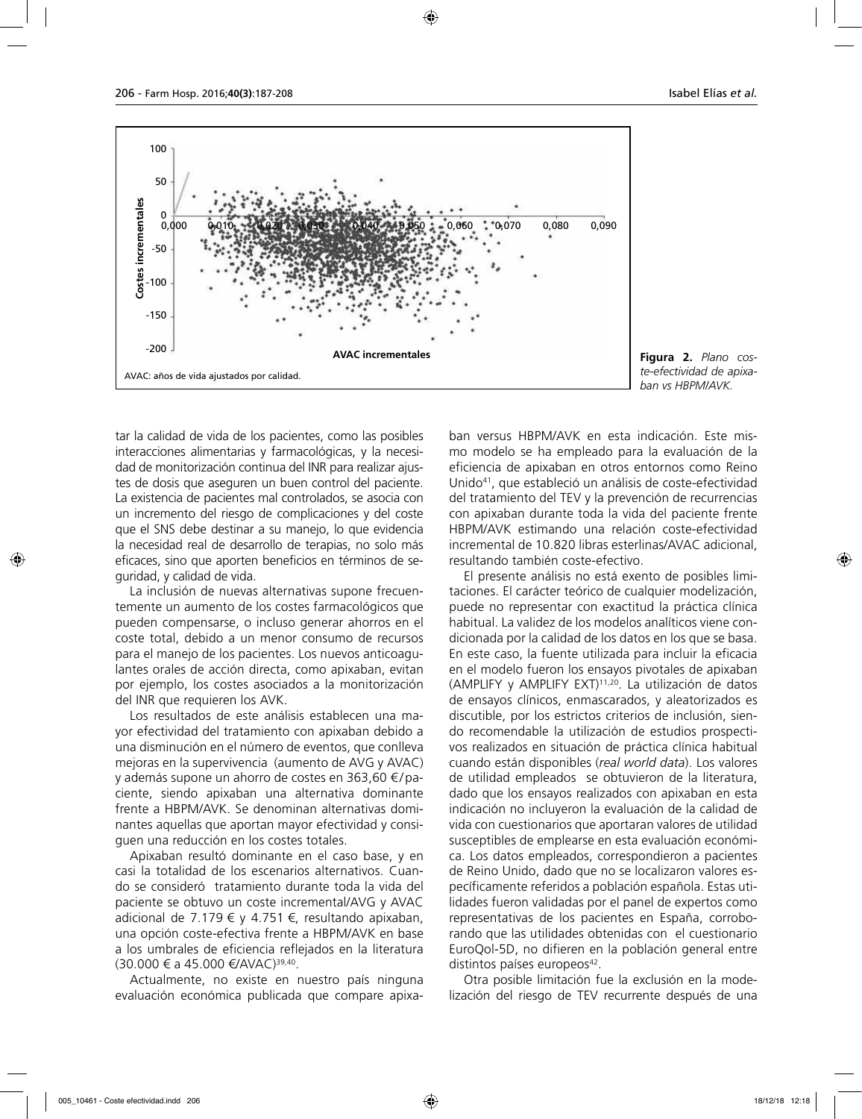

**Figura 2.** *Plano coste-efectividad de apixaban vs HBPM/AVK.*

tar la calidad de vida de los pacientes, como las posibles interacciones alimentarias y farmacológicas, y la necesidad de monitorización continua del INR para realizar ajustes de dosis que aseguren un buen control del paciente. La existencia de pacientes mal controlados, se asocia con un incremento del riesgo de complicaciones y del coste que el SNS debe destinar a su manejo, lo que evidencia la necesidad real de desarrollo de terapias, no solo más eficaces, sino que aporten beneficios en términos de seguridad, y calidad de vida.

La inclusión de nuevas alternativas supone frecuentemente un aumento de los costes farmacológicos que pueden compensarse, o incluso generar ahorros en el coste total, debido a un menor consumo de recursos para el manejo de los pacientes. Los nuevos anticoagulantes orales de acción directa, como apixaban, evitan por ejemplo, los costes asociados a la monitorización del INR que requieren los AVK.

Los resultados de este análisis establecen una mayor efectividad del tratamiento con apixaban debido a una disminución en el número de eventos, que conlleva mejoras en la supervivencia (aumento de AVG y AVAC) y además supone un ahorro de costes en 363,60 € / paciente, siendo apixaban una alternativa dominante frente a HBPM/AVK. Se denominan alternativas dominantes aquellas que aportan mayor efectividad y consiguen una reducción en los costes totales.

Apixaban resultó dominante en el caso base, y en casi la totalidad de los escenarios alternativos. Cuando se consideró tratamiento durante toda la vida del paciente se obtuvo un coste incremental/AVG y AVAC adicional de 7.179 € y 4.751 €, resultando apixaban, una opción coste-efectiva frente a HBPM/AVK en base a los umbrales de eficiencia reflejados en la literatura  $(30.000 \t∈ a 45.000 \t∈/AVAC)^{39,40}.$ 

Actualmente, no existe en nuestro país ninguna evaluación económica publicada que compare apixaban versus HBPM/AVK en esta indicación. Este mismo modelo se ha empleado para la evaluación de la eficiencia de apixaban en otros entornos como Reino Unido41, que estableció un análisis de coste-efectividad del tratamiento del TEV y la prevención de recurrencias con apixaban durante toda la vida del paciente frente HBPM/AVK estimando una relación coste-efectividad incremental de 10.820 libras esterlinas/AVAC adicional, resultando también coste-efectivo.

El presente análisis no está exento de posibles limitaciones. El carácter teórico de cualquier modelización, puede no representar con exactitud la práctica clínica habitual. La validez de los modelos analíticos viene condicionada por la calidad de los datos en los que se basa. En este caso, la fuente utilizada para incluir la eficacia en el modelo fueron los ensayos pivotales de apixaban (AMPLIFY y AMPLIFY EXT)11,20. La utilización de datos de ensayos clínicos, enmascarados, y aleatorizados es discutible, por los estrictos criterios de inclusión, siendo recomendable la utilización de estudios prospectivos realizados en situación de práctica clínica habitual cuando están disponibles (*real world data*). Los valores de utilidad empleados se obtuvieron de la literatura, dado que los ensayos realizados con apixaban en esta indicación no incluyeron la evaluación de la calidad de vida con cuestionarios que aportaran valores de utilidad susceptibles de emplearse en esta evaluación económica. Los datos empleados, correspondieron a pacientes de Reino Unido, dado que no se localizaron valores específicamente referidos a población española. Estas utilidades fueron validadas por el panel de expertos como representativas de los pacientes en España, corroborando que las utilidades obtenidas con el cuestionario EuroQol-5D, no difieren en la población general entre distintos países europeos<sup>42</sup>.

Otra posible limitación fue la exclusión en la modelización del riesgo de TEV recurrente después de una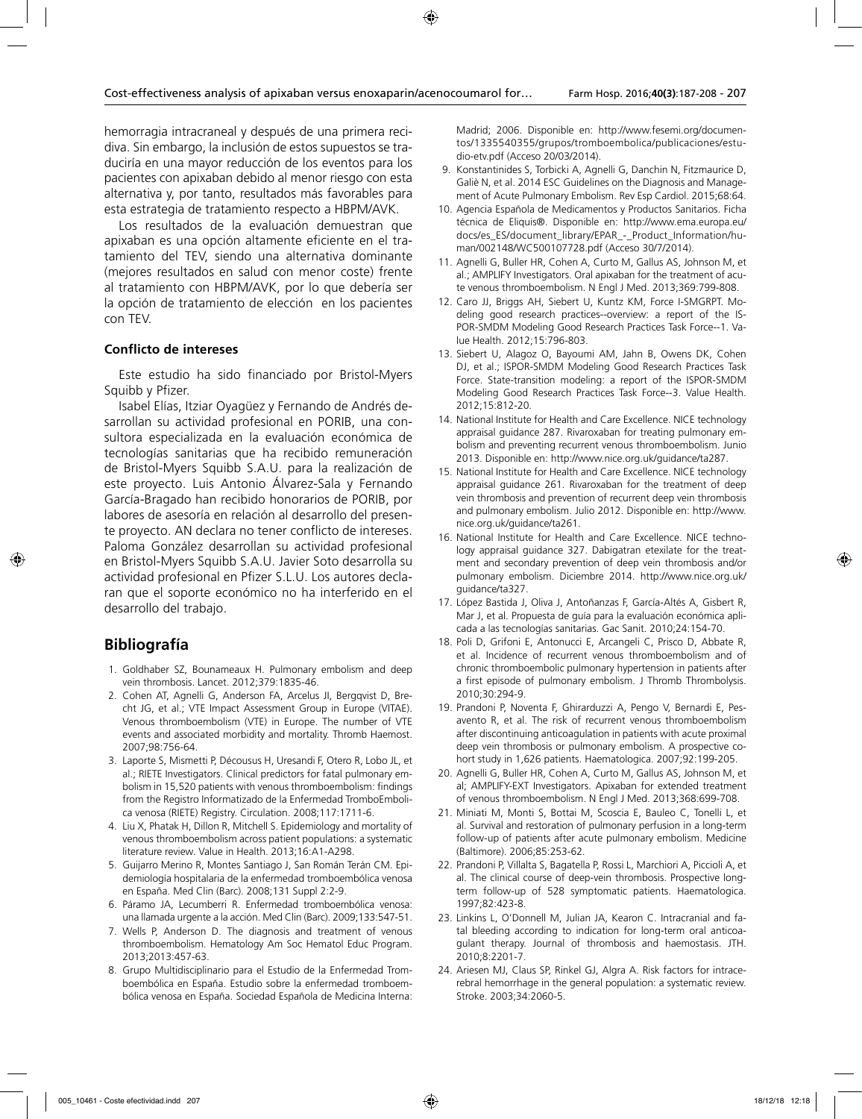hemorragia intracraneal y después de una primera recidiva. Sin embargo, la inclusión de estos supuestos se traduciría en una mayor reducción de los eventos para los pacientes con apixaban debido al menor riesgo con esta alternativa y, por tanto, resultados más favorables para esta estrategia de tratamiento respecto a HBPM/AVK.

Los resultados de la evaluación demuestran que apixaban es una opción altamente eficiente en el tratamiento del TEV, siendo una alternativa dominante (mejores resultados en salud con menor coste) frente al tratamiento con HBPM/AVK, por lo que debería ser la opción de tratamiento de elección en los pacientes con TEV.

### **Conflicto de intereses**

Este estudio ha sido financiado por Bristol-Myers Squibb y Pfizer.

Isabel Elías, Itziar Oyagüez y Fernando de Andrés desarrollan su actividad profesional en PORIB, una consultora especializada en la evaluación económica de tecnologías sanitarias que ha recibido remuneración de Bristol-Myers Squibb S.A.U. para la realización de este proyecto. Luis Antonio Álvarez-Sala y Fernando García-Bragado han recibido honorarios de PORIB, por labores de asesoría en relación al desarrollo del presente proyecto. AN declara no tener conflicto de intereses. Paloma González desarrollan su actividad profesional en Bristol-Myers Squibb S.A.U. Javier Soto desarrolla su actividad profesional en Pfizer S.L.U. Los autores declaran que el soporte económico no ha interferido en el desarrollo del trabajo.

# **Bibliografía**

- 1. Goldhaber SZ, Bounameaux H. Pulmonary embolism and deep vein thrombosis. Lancet. 2012;379:1835-46.
- 2. Cohen AT, Agnelli G, Anderson FA, Arcelus JI, Bergqvist D, Brecht JG, et al.; VTE Impact Assessment Group in Europe (VITAE). Venous thromboembolism (VTE) in Europe. The number of VTE events and associated morbidity and mortality. Thromb Haemost. 2007;98:756-64.
- 3. Laporte S, Mismetti P, Décousus H, Uresandi F, Otero R, Lobo JL, et al.; RIETE Investigators. Clinical predictors for fatal pulmonary embolism in 15,520 patients with venous thromboembolism: findings from the Registro Informatizado de la Enfermedad TromboEmbolica venosa (RIETE) Registry. Circulation. 2008;117:1711-6.
- 4. Liu X, Phatak H, Dillon R, Mitchell S. Epidemiology and mortality of venous thromboembolism across patient populations: a systematic literature review. Value in Health. 2013;16:A1-A298.
- 5. Guijarro Merino R, Montes Santiago J, San Román Terán CM. Epidemiología hospitalaria de la enfermedad tromboembólica venosa en España. Med Clin (Barc). 2008;131 Suppl 2:2-9.
- 6. Páramo JA, Lecumberri R. Enfermedad tromboembólica venosa: una llamada urgente a la acción. Med Clin (Barc). 2009;133:547-51.
- 7. Wells P, Anderson D. The diagnosis and treatment of venous thromboembolism. Hematology Am Soc Hematol Educ Program. 2013;2013:457-63.
- 8. Grupo Multidisciplinario para el Estudio de la Enfermedad Tromboembólica en España. Estudio sobre la enfermedad tromboembólica venosa en España. Sociedad Española de Medicina Interna:

Madrid; 2006. Disponible en: http://www.fesemi.org/documentos/1335540355/grupos/tromboembolica/publicaciones/estudio-etv.pdf (Acceso 20/03/2014).

- 9. Konstantinides S, Torbicki A, Agnelli G, Danchin N, Fitzmaurice D, Galiè N, et al. 2014 ESC Guidelines on the Diagnosis and Management of Acute Pulmonary Embolism. Rev Esp Cardiol. 2015;68:64.
- 10. Agencia Española de Medicamentos y Productos Sanitarios. Ficha técnica de Eliquis®. Disponible en: http://www.ema.europa.eu/ docs/es\_ES/document\_library/EPAR\_-\_Product\_Information/human/002148/WC500107728.pdf (Acceso 30/7/2014).
- 11. Agnelli G, Buller HR, Cohen A, Curto M, Gallus AS, Johnson M, et al.; AMPLIFY Investigators. Oral apixaban for the treatment of acute venous thromboembolism. N Engl J Med. 2013;369:799-808.
- 12. Caro JJ, Briggs AH, Siebert U, Kuntz KM, Force I-SMGRPT. Modeling good research practices--overview: a report of the IS-POR-SMDM Modeling Good Research Practices Task Force--1. Value Health. 2012;15:796-803.
- 13. Siebert U, Alagoz O, Bayoumi AM, Jahn B, Owens DK, Cohen DJ, et al.; ISPOR-SMDM Modeling Good Research Practices Task Force. State-transition modeling: a report of the ISPOR-SMDM Modeling Good Research Practices Task Force--3. Value Health. 2012;15:812-20.
- 14. National Institute for Health and Care Excellence. NICE technology appraisal guidance 287. Rivaroxaban for treating pulmonary embolism and preventing recurrent venous thromboembolism. Junio 2013. Disponible en: http://www.nice.org.uk/guidance/ta287.
- 15. National Institute for Health and Care Excellence. NICE technology appraisal guidance 261. Rivaroxaban for the treatment of deep vein thrombosis and prevention of recurrent deep vein thrombosis and pulmonary embolism. Julio 2012. Disponible en: http://www. nice.org.uk/guidance/ta261.
- 16. National Institute for Health and Care Excellence. NICE technology appraisal guidance 327. Dabigatran etexilate for the treatment and secondary prevention of deep vein thrombosis and/or pulmonary embolism. Diciembre 2014. http://www.nice.org.uk/ guidance/ta327.
- 17. López Bastida J, Oliva J, Antoñanzas F, García-Altés A, Gisbert R, Mar J, et al. Propuesta de guía para la evaluación económica aplicada a las tecnologías sanitarias. Gac Sanit. 2010;24:154-70.
- 18. Poli D, Grifoni E, Antonucci E, Arcangeli C, Prisco D, Abbate R, et al. Incidence of recurrent venous thromboembolism and of chronic thromboembolic pulmonary hypertension in patients after a first episode of pulmonary embolism. J Thromb Thrombolysis. 2010;30:294-9.
- 19. Prandoni P, Noventa F, Ghirarduzzi A, Pengo V, Bernardi E, Pesavento R, et al. The risk of recurrent venous thromboembolism after discontinuing anticoagulation in patients with acute proximal deep vein thrombosis or pulmonary embolism. A prospective cohort study in 1,626 patients. Haematologica. 2007;92:199-205.
- 20. Agnelli G, Buller HR, Cohen A, Curto M, Gallus AS, Johnson M, et al; AMPLIFY-EXT Investigators. Apixaban for extended treatment of venous thromboembolism. N Engl J Med. 2013;368:699-708.
- 21. Miniati M, Monti S, Bottai M, Scoscia E, Bauleo C, Tonelli L, et al. Survival and restoration of pulmonary perfusion in a long-term follow-up of patients after acute pulmonary embolism. Medicine (Baltimore). 2006;85:253-62.
- 22. Prandoni P, Villalta S, Bagatella P, Rossi L, Marchiori A, Piccioli A, et al. The clinical course of deep-vein thrombosis. Prospective longterm follow-up of 528 symptomatic patients. Haematologica. 1997;82:423-8.
- 23. Linkins L, O'Donnell M, Julian JA, Kearon C. Intracranial and fatal bleeding according to indication for long-term oral anticoagulant therapy. Journal of thrombosis and haemostasis. JTH. 2010;8:2201-7.
- 24. Ariesen MJ, Claus SP, Rinkel GJ, Algra A. Risk factors for intracerebral hemorrhage in the general population: a systematic review. Stroke. 2003;34:2060-5.